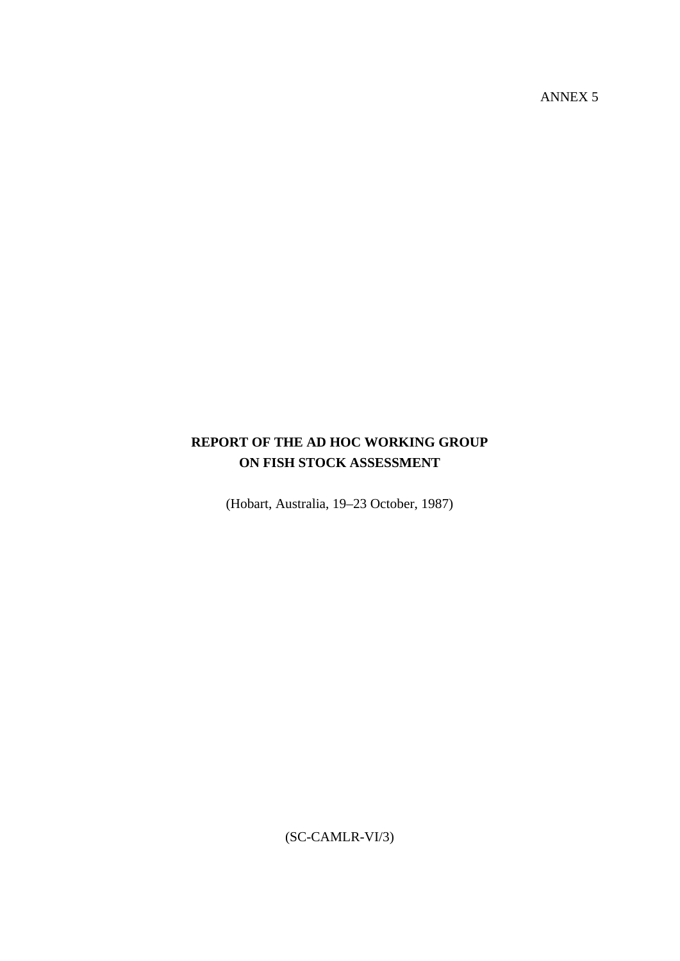ANNEX 5

# **REPORT OF THE AD HOC WORKING GROUP ON FISH STOCK ASSESSMENT**

(Hobart, Australia, 19–23 October, 1987)

(SC-CAMLR-VI/3)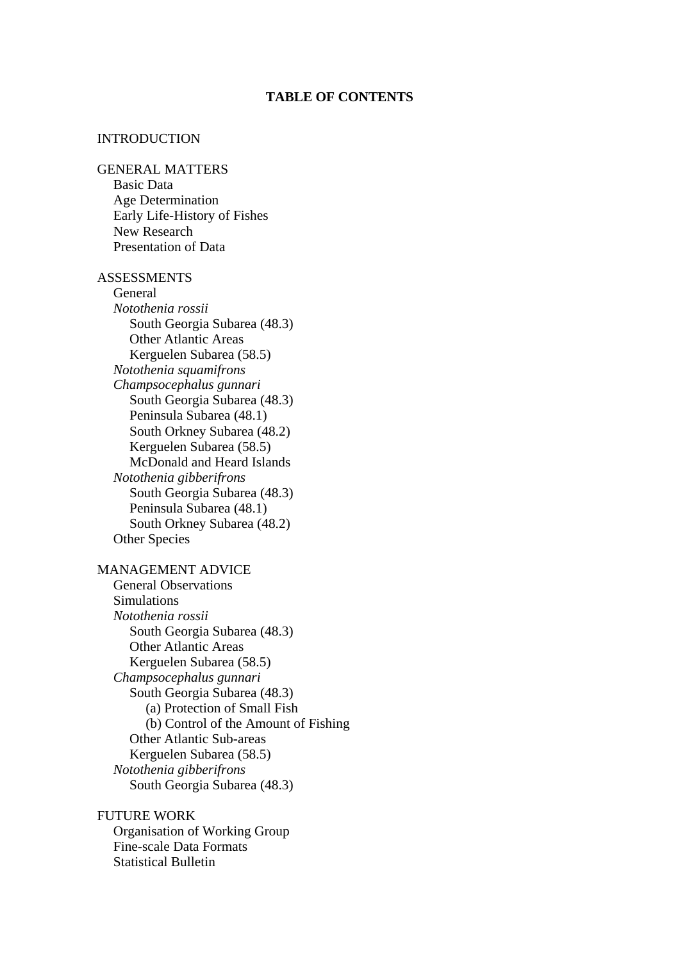### **TABLE OF CONTENTS**

#### INTRODUCTION

#### GENERAL MATTERS

Basic Data Age Determination Early Life-History of Fishes New Research Presentation of Data

#### **ASSESSMENTS**

General *Notothenia rossii* South Georgia Subarea (48.3) Other Atlantic Areas Kerguelen Subarea (58.5) *Notothenia squamifrons Champsocephalus gunnari* South Georgia Subarea (48.3) Peninsula Subarea (48.1) South Orkney Subarea (48.2) Kerguelen Subarea (58.5) McDonald and Heard Islands *Notothenia gibberifrons* South Georgia Subarea (48.3) Peninsula Subarea (48.1) South Orkney Subarea (48.2) Other Species

### MANAGEMENT ADVICE

General Observations **Simulations** *Notothenia rossii* South Georgia Subarea (48.3) Other Atlantic Areas Kerguelen Subarea (58.5) *Champsocephalus gunnari* South Georgia Subarea (48.3) (a) Protection of Small Fish (b) Control of the Amount of Fishing Other Atlantic Sub-areas Kerguelen Subarea (58.5) *Notothenia gibberifrons* South Georgia Subarea (48.3)

#### FUTURE WORK

Organisation of Working Group Fine-scale Data Formats Statistical Bulletin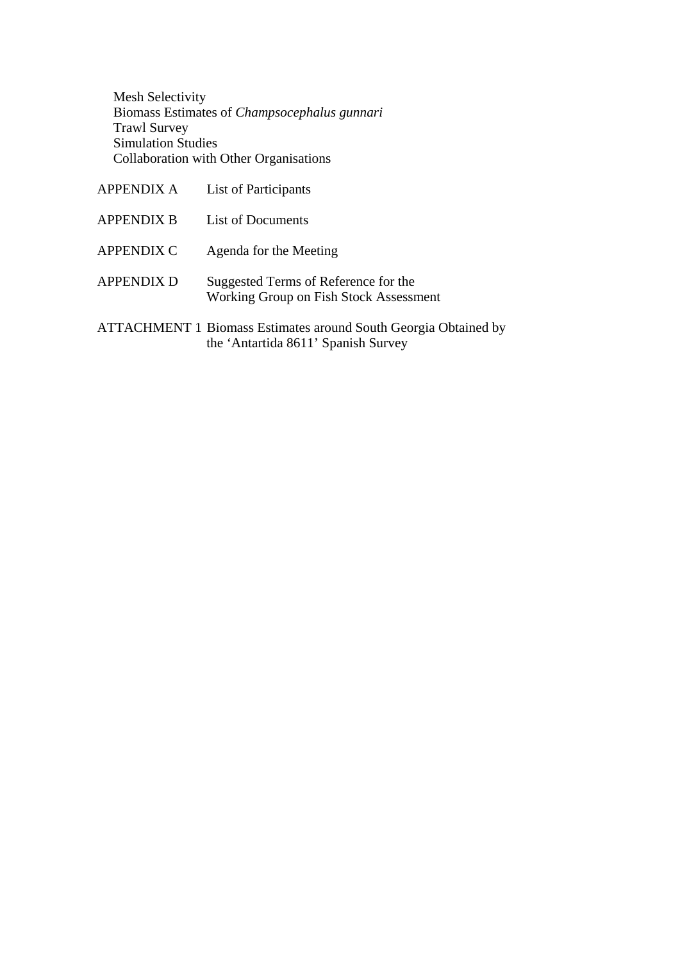Mesh Selectivity Biomass Estimates of *Champsocephalus gunnari* Trawl Survey Simulation Studies Collaboration with Other Organisations

| <b>APPENDIX A</b> | List of Participants                                                                                          |
|-------------------|---------------------------------------------------------------------------------------------------------------|
| <b>APPENDIX B</b> | List of Documents                                                                                             |
| <b>APPENDIX C</b> | Agenda for the Meeting                                                                                        |
| <b>APPENDIX D</b> | Suggested Terms of Reference for the<br>Working Group on Fish Stock Assessment                                |
|                   | <b>ATTACHMENT 1 Biomass Estimates around South Georgia Obtained by</b><br>the 'Antartida 8611' Spanish Survey |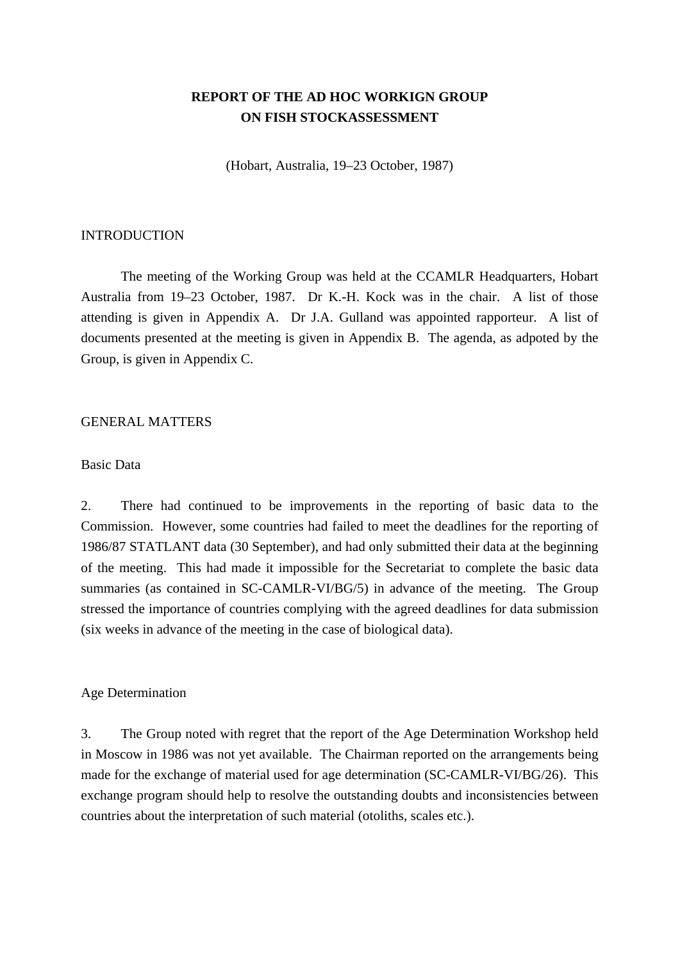# **REPORT OF THE AD HOC WORKIGN GROUP ON FISH STOCKASSESSMENT**

(Hobart, Australia, 19–23 October, 1987)

### **INTRODUCTION**

 The meeting of the Working Group was held at the CCAMLR Headquarters, Hobart Australia from 19–23 October, 1987. Dr K.-H. Kock was in the chair. A list of those attending is given in Appendix A. Dr J.A. Gulland was appointed rapporteur. A list of documents presented at the meeting is given in Appendix B. The agenda, as adpoted by the Group, is given in Appendix C.

#### GENERAL MATTERS

#### Basic Data

2. There had continued to be improvements in the reporting of basic data to the Commission. However, some countries had failed to meet the deadlines for the reporting of 1986/87 STATLANT data (30 September), and had only submitted their data at the beginning of the meeting. This had made it impossible for the Secretariat to complete the basic data summaries (as contained in SC-CAMLR-VI/BG/5) in advance of the meeting. The Group stressed the importance of countries complying with the agreed deadlines for data submission (six weeks in advance of the meeting in the case of biological data).

#### Age Determination

3. The Group noted with regret that the report of the Age Determination Workshop held in Moscow in 1986 was not yet available. The Chairman reported on the arrangements being made for the exchange of material used for age determination (SC-CAMLR-VI/BG/26). This exchange program should help to resolve the outstanding doubts and inconsistencies between countries about the interpretation of such material (otoliths, scales etc.).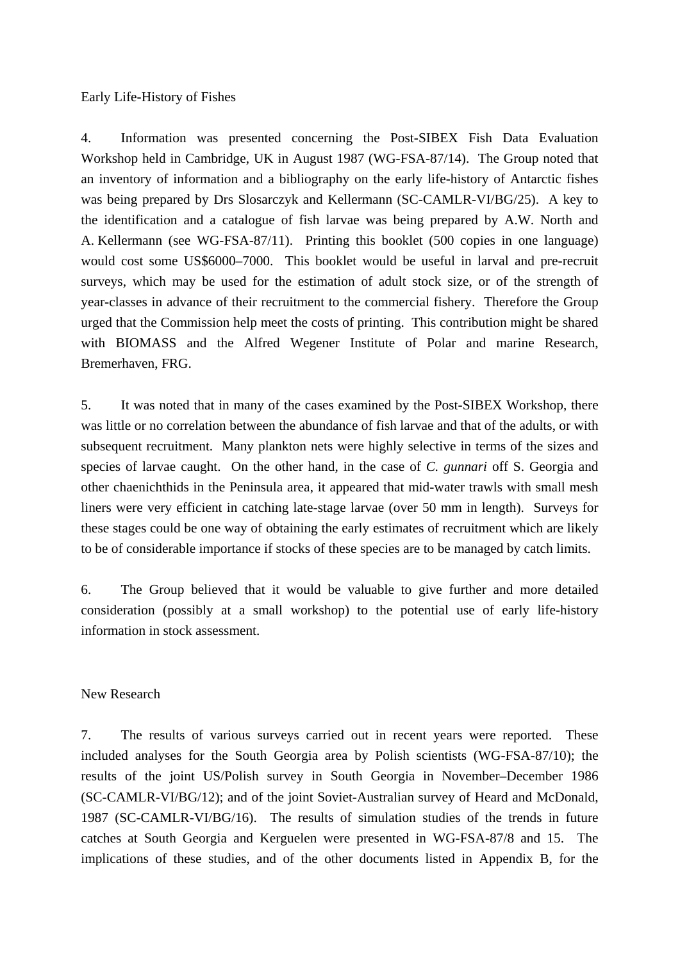Early Life-History of Fishes

4. Information was presented concerning the Post-SIBEX Fish Data Evaluation Workshop held in Cambridge, UK in August 1987 (WG-FSA-87/14). The Group noted that an inventory of information and a bibliography on the early life-history of Antarctic fishes was being prepared by Drs Slosarczyk and Kellermann (SC-CAMLR-VI/BG/25). A key to the identification and a catalogue of fish larvae was being prepared by A.W. North and A. Kellermann (see WG-FSA-87/11). Printing this booklet (500 copies in one language) would cost some US\$6000–7000. This booklet would be useful in larval and pre-recruit surveys, which may be used for the estimation of adult stock size, or of the strength of year-classes in advance of their recruitment to the commercial fishery. Therefore the Group urged that the Commission help meet the costs of printing. This contribution might be shared with BIOMASS and the Alfred Wegener Institute of Polar and marine Research, Bremerhaven, FRG.

5. It was noted that in many of the cases examined by the Post-SIBEX Workshop, there was little or no correlation between the abundance of fish larvae and that of the adults, or with subsequent recruitment. Many plankton nets were highly selective in terms of the sizes and species of larvae caught. On the other hand, in the case of *C. gunnari* off S. Georgia and other chaenichthids in the Peninsula area, it appeared that mid-water trawls with small mesh liners were very efficient in catching late-stage larvae (over 50 mm in length). Surveys for these stages could be one way of obtaining the early estimates of recruitment which are likely to be of considerable importance if stocks of these species are to be managed by catch limits.

6. The Group believed that it would be valuable to give further and more detailed consideration (possibly at a small workshop) to the potential use of early life-history information in stock assessment.

### New Research

7. The results of various surveys carried out in recent years were reported. These included analyses for the South Georgia area by Polish scientists (WG-FSA-87/10); the results of the joint US/Polish survey in South Georgia in November–December 1986 (SC-CAMLR-VI/BG/12); and of the joint Soviet-Australian survey of Heard and McDonald, 1987 (SC-CAMLR-VI/BG/16). The results of simulation studies of the trends in future catches at South Georgia and Kerguelen were presented in WG-FSA-87/8 and 15. The implications of these studies, and of the other documents listed in Appendix B, for the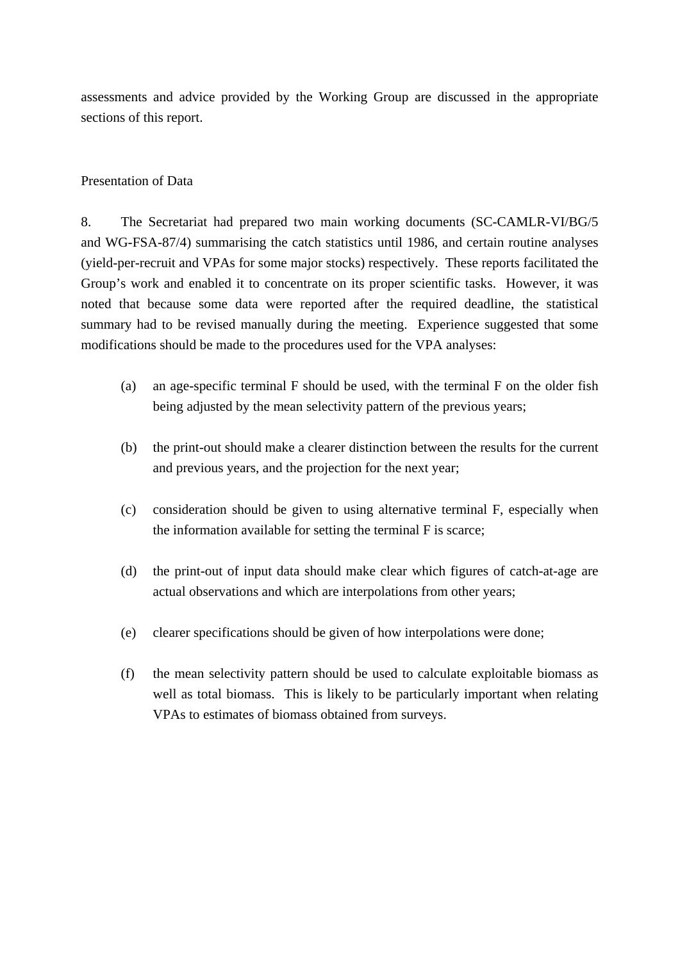assessments and advice provided by the Working Group are discussed in the appropriate sections of this report.

# Presentation of Data

8. The Secretariat had prepared two main working documents (SC-CAMLR-VI/BG/5 and WG-FSA-87/4) summarising the catch statistics until 1986, and certain routine analyses (yield-per-recruit and VPAs for some major stocks) respectively. These reports facilitated the Group's work and enabled it to concentrate on its proper scientific tasks. However, it was noted that because some data were reported after the required deadline, the statistical summary had to be revised manually during the meeting. Experience suggested that some modifications should be made to the procedures used for the VPA analyses:

- (a) an age-specific terminal F should be used, with the terminal F on the older fish being adjusted by the mean selectivity pattern of the previous years;
- (b) the print-out should make a clearer distinction between the results for the current and previous years, and the projection for the next year;
- (c) consideration should be given to using alternative terminal F, especially when the information available for setting the terminal F is scarce;
- (d) the print-out of input data should make clear which figures of catch-at-age are actual observations and which are interpolations from other years;
- (e) clearer specifications should be given of how interpolations were done;
- (f) the mean selectivity pattern should be used to calculate exploitable biomass as well as total biomass. This is likely to be particularly important when relating VPAs to estimates of biomass obtained from surveys.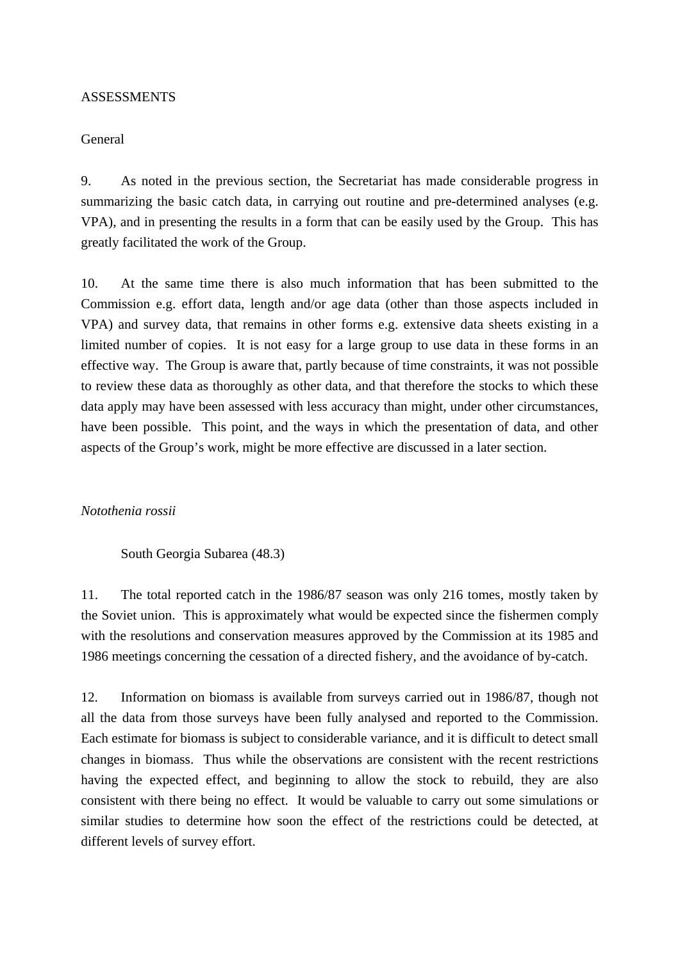#### ASSESSMENTS

### General

9. As noted in the previous section, the Secretariat has made considerable progress in summarizing the basic catch data, in carrying out routine and pre-determined analyses (e.g. VPA), and in presenting the results in a form that can be easily used by the Group. This has greatly facilitated the work of the Group.

10. At the same time there is also much information that has been submitted to the Commission e.g. effort data, length and/or age data (other than those aspects included in VPA) and survey data, that remains in other forms e.g. extensive data sheets existing in a limited number of copies. It is not easy for a large group to use data in these forms in an effective way. The Group is aware that, partly because of time constraints, it was not possible to review these data as thoroughly as other data, and that therefore the stocks to which these data apply may have been assessed with less accuracy than might, under other circumstances, have been possible. This point, and the ways in which the presentation of data, and other aspects of the Group's work, might be more effective are discussed in a later section.

#### *Notothenia rossii*

South Georgia Subarea (48.3)

11. The total reported catch in the 1986/87 season was only 216 tomes, mostly taken by the Soviet union. This is approximately what would be expected since the fishermen comply with the resolutions and conservation measures approved by the Commission at its 1985 and 1986 meetings concerning the cessation of a directed fishery, and the avoidance of by-catch.

12. Information on biomass is available from surveys carried out in 1986/87, though not all the data from those surveys have been fully analysed and reported to the Commission. Each estimate for biomass is subject to considerable variance, and it is difficult to detect small changes in biomass. Thus while the observations are consistent with the recent restrictions having the expected effect, and beginning to allow the stock to rebuild, they are also consistent with there being no effect. It would be valuable to carry out some simulations or similar studies to determine how soon the effect of the restrictions could be detected, at different levels of survey effort.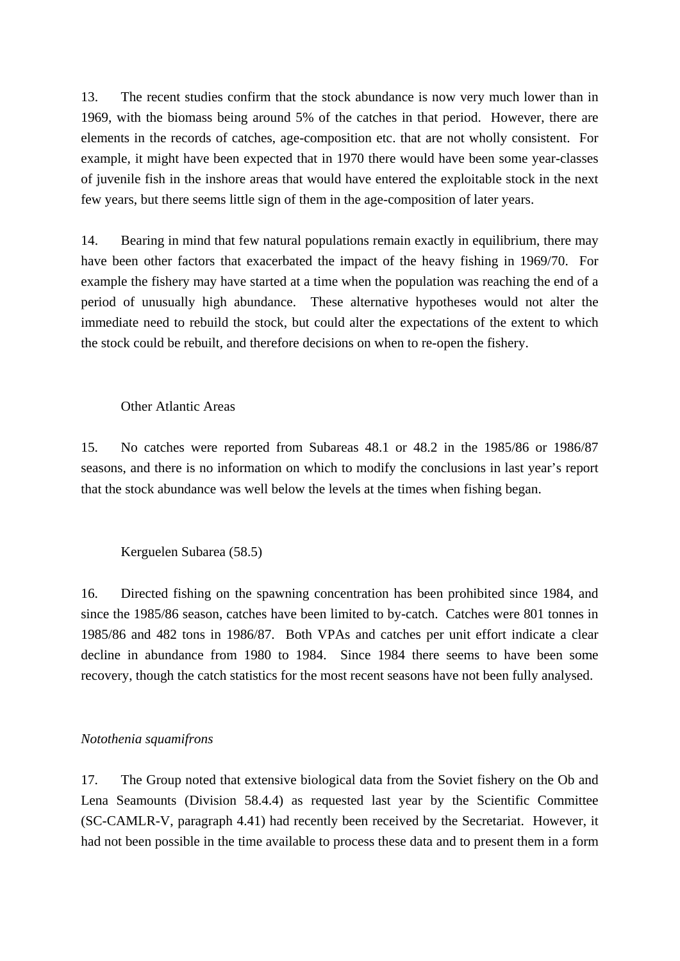13. The recent studies confirm that the stock abundance is now very much lower than in 1969, with the biomass being around 5% of the catches in that period. However, there are elements in the records of catches, age-composition etc. that are not wholly consistent. For example, it might have been expected that in 1970 there would have been some year-classes of juvenile fish in the inshore areas that would have entered the exploitable stock in the next few years, but there seems little sign of them in the age-composition of later years.

14. Bearing in mind that few natural populations remain exactly in equilibrium, there may have been other factors that exacerbated the impact of the heavy fishing in 1969/70. For example the fishery may have started at a time when the population was reaching the end of a period of unusually high abundance. These alternative hypotheses would not alter the immediate need to rebuild the stock, but could alter the expectations of the extent to which the stock could be rebuilt, and therefore decisions on when to re-open the fishery.

#### Other Atlantic Areas

15. No catches were reported from Subareas 48.1 or 48.2 in the 1985/86 or 1986/87 seasons, and there is no information on which to modify the conclusions in last year's report that the stock abundance was well below the levels at the times when fishing began.

#### Kerguelen Subarea (58.5)

16. Directed fishing on the spawning concentration has been prohibited since 1984, and since the 1985/86 season, catches have been limited to by-catch. Catches were 801 tonnes in 1985/86 and 482 tons in 1986/87. Both VPAs and catches per unit effort indicate a clear decline in abundance from 1980 to 1984. Since 1984 there seems to have been some recovery, though the catch statistics for the most recent seasons have not been fully analysed.

#### *Notothenia squamifrons*

17. The Group noted that extensive biological data from the Soviet fishery on the Ob and Lena Seamounts (Division 58.4.4) as requested last year by the Scientific Committee (SC-CAMLR-V, paragraph 4.41) had recently been received by the Secretariat. However, it had not been possible in the time available to process these data and to present them in a form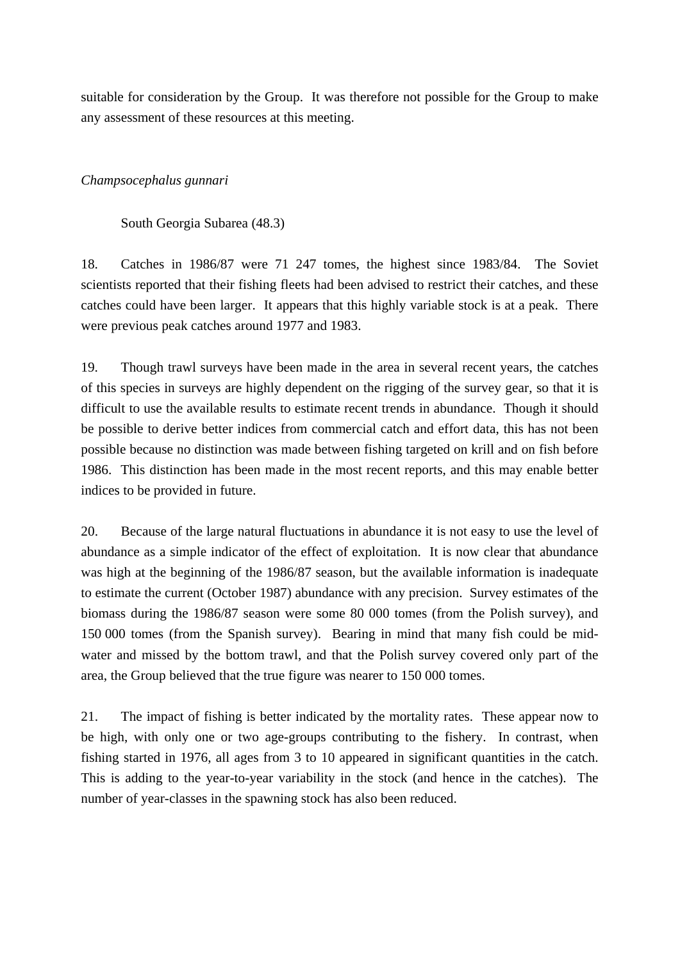suitable for consideration by the Group. It was therefore not possible for the Group to make any assessment of these resources at this meeting.

# *Champsocephalus gunnari*

South Georgia Subarea (48.3)

18. Catches in 1986/87 were 71 247 tomes, the highest since 1983/84. The Soviet scientists reported that their fishing fleets had been advised to restrict their catches, and these catches could have been larger. It appears that this highly variable stock is at a peak. There were previous peak catches around 1977 and 1983.

19. Though trawl surveys have been made in the area in several recent years, the catches of this species in surveys are highly dependent on the rigging of the survey gear, so that it is difficult to use the available results to estimate recent trends in abundance. Though it should be possible to derive better indices from commercial catch and effort data, this has not been possible because no distinction was made between fishing targeted on krill and on fish before 1986. This distinction has been made in the most recent reports, and this may enable better indices to be provided in future.

20. Because of the large natural fluctuations in abundance it is not easy to use the level of abundance as a simple indicator of the effect of exploitation. It is now clear that abundance was high at the beginning of the 1986/87 season, but the available information is inadequate to estimate the current (October 1987) abundance with any precision. Survey estimates of the biomass during the 1986/87 season were some 80 000 tomes (from the Polish survey), and 150 000 tomes (from the Spanish survey). Bearing in mind that many fish could be midwater and missed by the bottom trawl, and that the Polish survey covered only part of the area, the Group believed that the true figure was nearer to 150 000 tomes.

21. The impact of fishing is better indicated by the mortality rates. These appear now to be high, with only one or two age-groups contributing to the fishery. In contrast, when fishing started in 1976, all ages from 3 to 10 appeared in significant quantities in the catch. This is adding to the year-to-year variability in the stock (and hence in the catches). The number of year-classes in the spawning stock has also been reduced.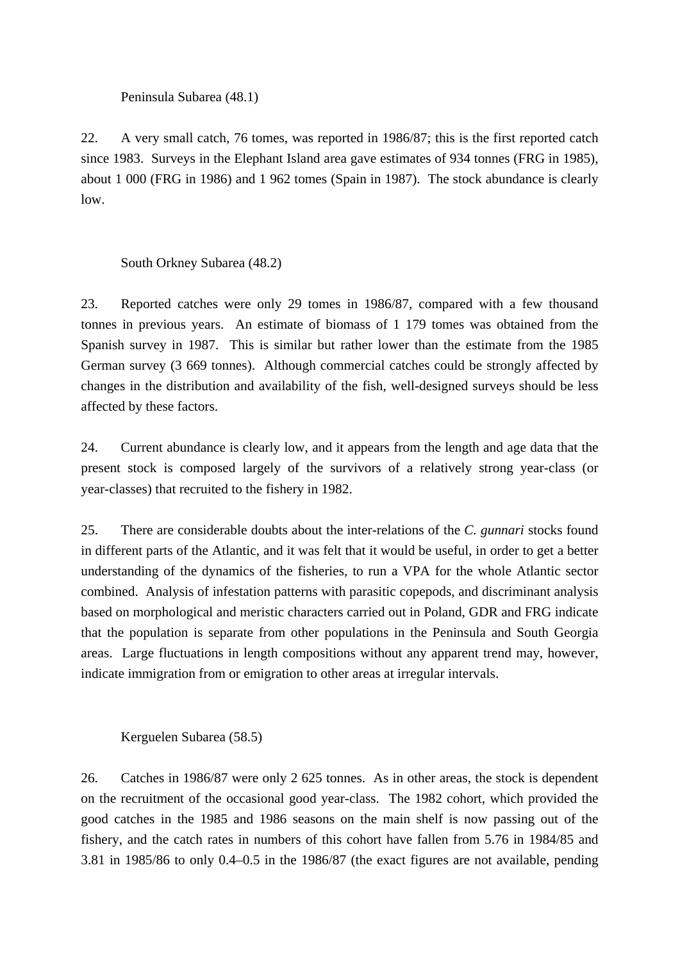### Peninsula Subarea (48.1)

22. A very small catch, 76 tomes, was reported in 1986/87; this is the first reported catch since 1983. Surveys in the Elephant Island area gave estimates of 934 tonnes (FRG in 1985), about 1 000 (FRG in 1986) and 1 962 tomes (Spain in 1987). The stock abundance is clearly low.

# South Orkney Subarea (48.2)

23. Reported catches were only 29 tomes in 1986/87, compared with a few thousand tonnes in previous years. An estimate of biomass of 1 179 tomes was obtained from the Spanish survey in 1987. This is similar but rather lower than the estimate from the 1985 German survey (3 669 tonnes). Although commercial catches could be strongly affected by changes in the distribution and availability of the fish, well-designed surveys should be less affected by these factors.

24. Current abundance is clearly low, and it appears from the length and age data that the present stock is composed largely of the survivors of a relatively strong year-class (or year-classes) that recruited to the fishery in 1982.

25. There are considerable doubts about the inter-relations of the *C. gunnari* stocks found in different parts of the Atlantic, and it was felt that it would be useful, in order to get a better understanding of the dynamics of the fisheries, to run a VPA for the whole Atlantic sector combined. Analysis of infestation patterns with parasitic copepods, and discriminant analysis based on morphological and meristic characters carried out in Poland, GDR and FRG indicate that the population is separate from other populations in the Peninsula and South Georgia areas. Large fluctuations in length compositions without any apparent trend may, however, indicate immigration from or emigration to other areas at irregular intervals.

Kerguelen Subarea (58.5)

26. Catches in 1986/87 were only 2 625 tonnes. As in other areas, the stock is dependent on the recruitment of the occasional good year-class. The 1982 cohort, which provided the good catches in the 1985 and 1986 seasons on the main shelf is now passing out of the fishery, and the catch rates in numbers of this cohort have fallen from 5.76 in 1984/85 and 3.81 in 1985/86 to only 0.4–0.5 in the 1986/87 (the exact figures are not available, pending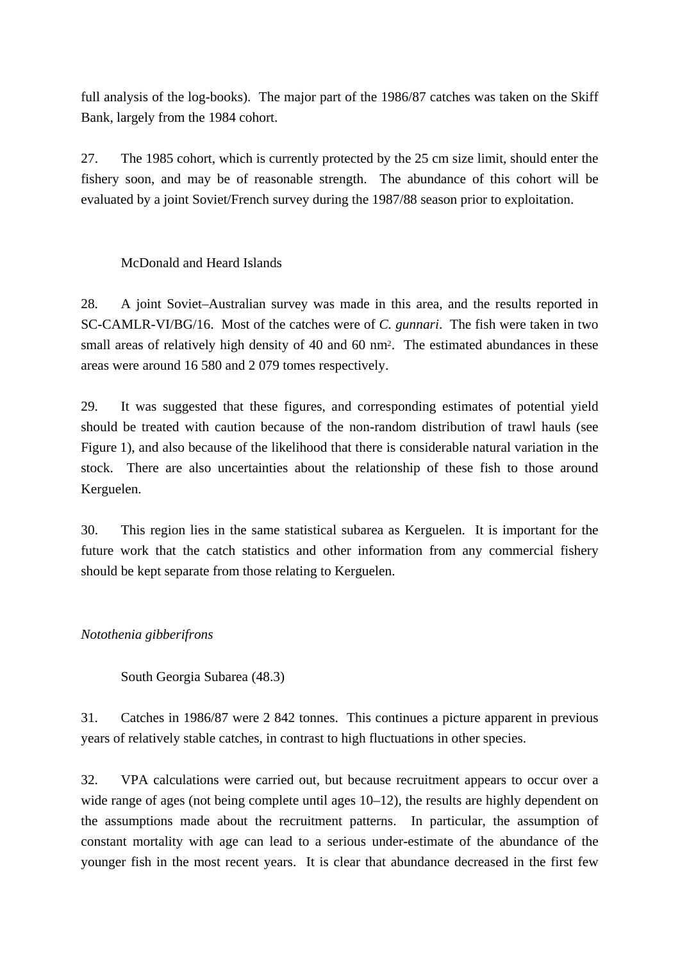full analysis of the log-books). The major part of the 1986/87 catches was taken on the Skiff Bank, largely from the 1984 cohort.

27. The 1985 cohort, which is currently protected by the 25 cm size limit, should enter the fishery soon, and may be of reasonable strength. The abundance of this cohort will be evaluated by a joint Soviet/French survey during the 1987/88 season prior to exploitation.

# McDonald and Heard Islands

28. A joint Soviet–Australian survey was made in this area, and the results reported in SC-CAMLR-VI/BG/16. Most of the catches were of *C. gunnari*. The fish were taken in two small areas of relatively high density of 40 and 60 nm<sup>2</sup>. The estimated abundances in these areas were around 16 580 and 2 079 tomes respectively.

29. It was suggested that these figures, and corresponding estimates of potential yield should be treated with caution because of the non-random distribution of trawl hauls (see Figure 1), and also because of the likelihood that there is considerable natural variation in the stock. There are also uncertainties about the relationship of these fish to those around Kerguelen.

30. This region lies in the same statistical subarea as Kerguelen. It is important for the future work that the catch statistics and other information from any commercial fishery should be kept separate from those relating to Kerguelen.

# *Notothenia gibberifrons*

South Georgia Subarea (48.3)

31. Catches in 1986/87 were 2 842 tonnes. This continues a picture apparent in previous years of relatively stable catches, in contrast to high fluctuations in other species.

32. VPA calculations were carried out, but because recruitment appears to occur over a wide range of ages (not being complete until ages 10–12), the results are highly dependent on the assumptions made about the recruitment patterns. In particular, the assumption of constant mortality with age can lead to a serious under-estimate of the abundance of the younger fish in the most recent years. It is clear that abundance decreased in the first few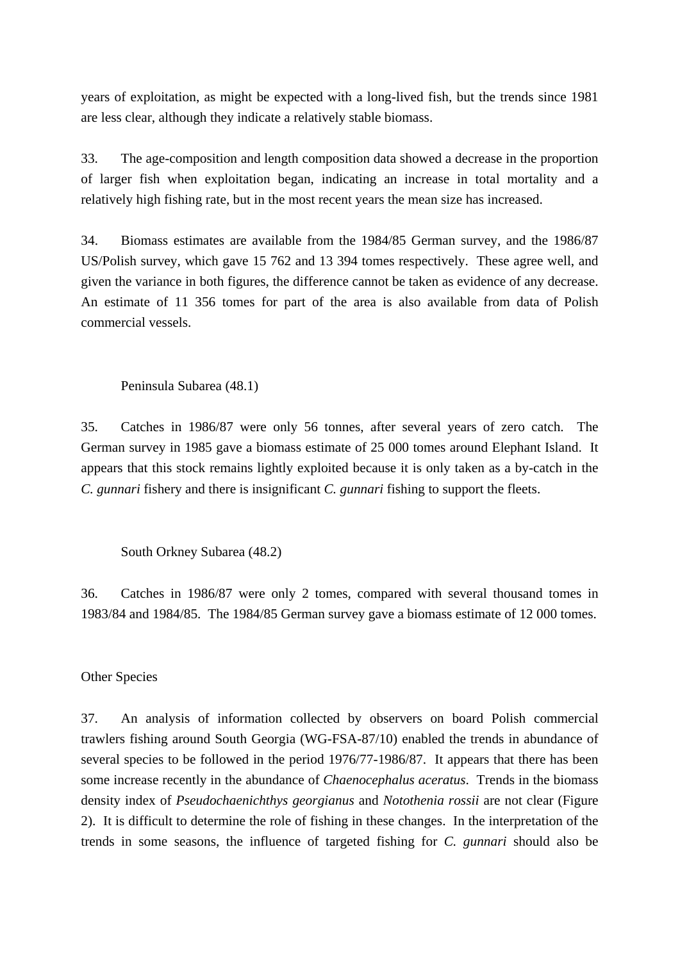years of exploitation, as might be expected with a long-lived fish, but the trends since 1981 are less clear, although they indicate a relatively stable biomass.

33. The age-composition and length composition data showed a decrease in the proportion of larger fish when exploitation began, indicating an increase in total mortality and a relatively high fishing rate, but in the most recent years the mean size has increased.

34. Biomass estimates are available from the 1984/85 German survey, and the 1986/87 US/Polish survey, which gave 15 762 and 13 394 tomes respectively. These agree well, and given the variance in both figures, the difference cannot be taken as evidence of any decrease. An estimate of 11 356 tomes for part of the area is also available from data of Polish commercial vessels.

Peninsula Subarea (48.1)

35. Catches in 1986/87 were only 56 tonnes, after several years of zero catch. The German survey in 1985 gave a biomass estimate of 25 000 tomes around Elephant Island. It appears that this stock remains lightly exploited because it is only taken as a by-catch in the *C. gunnari* fishery and there is insignificant *C. gunnari* fishing to support the fleets.

South Orkney Subarea (48.2)

36. Catches in 1986/87 were only 2 tomes, compared with several thousand tomes in 1983/84 and 1984/85. The 1984/85 German survey gave a biomass estimate of 12 000 tomes.

Other Species

37. An analysis of information collected by observers on board Polish commercial trawlers fishing around South Georgia (WG-FSA-87/10) enabled the trends in abundance of several species to be followed in the period 1976/77-1986/87. It appears that there has been some increase recently in the abundance of *Chaenocephalus aceratus*. Trends in the biomass density index of *Pseudochaenichthys georgianus* and *Notothenia rossii* are not clear (Figure 2). It is difficult to determine the role of fishing in these changes. In the interpretation of the trends in some seasons, the influence of targeted fishing for *C. gunnari* should also be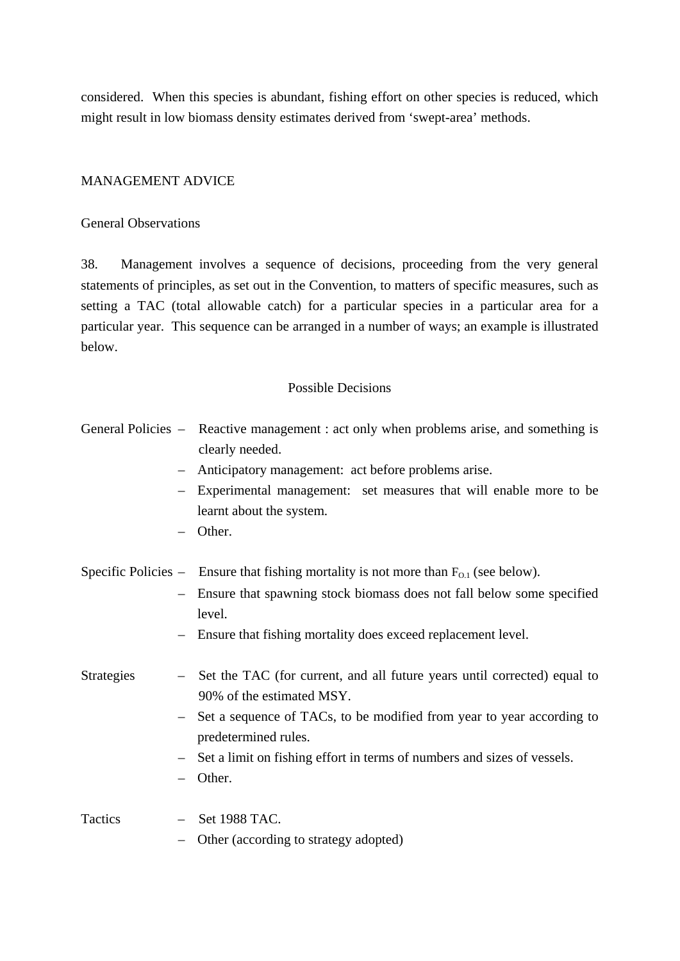considered. When this species is abundant, fishing effort on other species is reduced, which might result in low biomass density estimates derived from 'swept-area' methods.

# MANAGEMENT ADVICE

# General Observations

38. Management involves a sequence of decisions, proceeding from the very general statements of principles, as set out in the Convention, to matters of specific measures, such as setting a TAC (total allowable catch) for a particular species in a particular area for a particular year. This sequence can be arranged in a number of ways; an example is illustrated below.

## Possible Decisions

|                   | General Policies – Reactive management : act only when problems arise, and something is<br>clearly needed.<br>Anticipatory management: act before problems arise.<br>Experimental management: set measures that will enable more to be<br>$\overline{\phantom{0}}$<br>learnt about the system.<br>Other.                                            |
|-------------------|-----------------------------------------------------------------------------------------------------------------------------------------------------------------------------------------------------------------------------------------------------------------------------------------------------------------------------------------------------|
|                   | Specific Policies – Ensure that fishing mortality is not more than $F_{0,1}$ (see below).<br>Ensure that spawning stock biomass does not fall below some specified<br>$\overline{\phantom{0}}$<br>level.<br>Ensure that fishing mortality does exceed replacement level.                                                                            |
| <b>Strategies</b> | Set the TAC (for current, and all future years until corrected) equal to<br>$\overline{\phantom{a}}$<br>90% of the estimated MSY.<br>Set a sequence of TACs, to be modified from year to year according to<br>$\overline{\phantom{0}}$<br>predetermined rules.<br>Set a limit on fishing effort in terms of numbers and sizes of vessels.<br>Other. |
| Tactics           | Set 1988 TAC.<br>Other (according to strategy adopted)                                                                                                                                                                                                                                                                                              |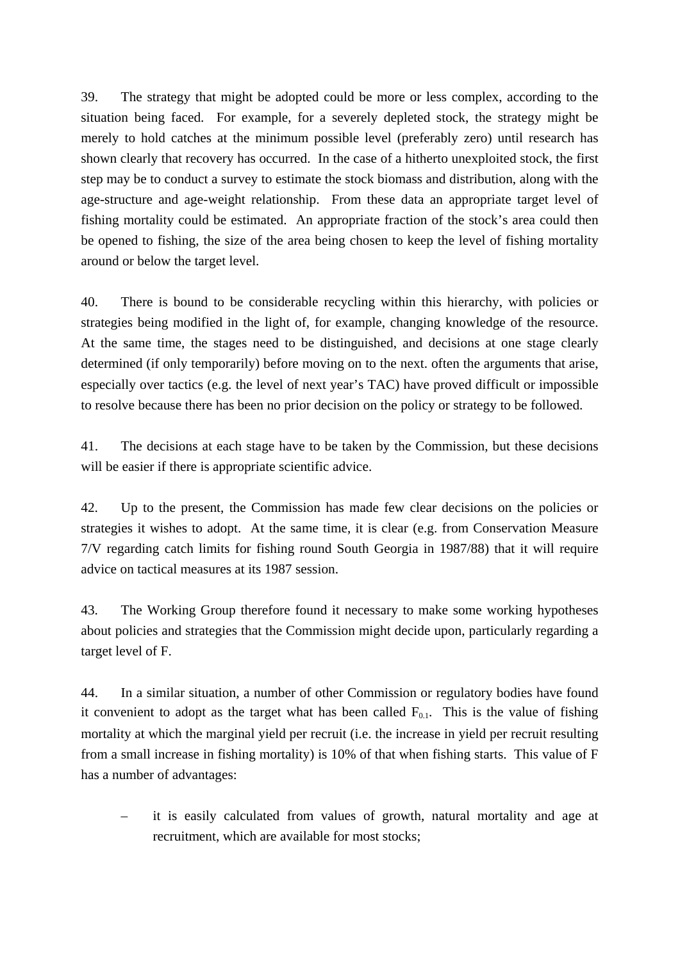39. The strategy that might be adopted could be more or less complex, according to the situation being faced. For example, for a severely depleted stock, the strategy might be merely to hold catches at the minimum possible level (preferably zero) until research has shown clearly that recovery has occurred. In the case of a hitherto unexploited stock, the first step may be to conduct a survey to estimate the stock biomass and distribution, along with the age-structure and age-weight relationship. From these data an appropriate target level of fishing mortality could be estimated. An appropriate fraction of the stock's area could then be opened to fishing, the size of the area being chosen to keep the level of fishing mortality around or below the target level.

40. There is bound to be considerable recycling within this hierarchy, with policies or strategies being modified in the light of, for example, changing knowledge of the resource. At the same time, the stages need to be distinguished, and decisions at one stage clearly determined (if only temporarily) before moving on to the next. often the arguments that arise, especially over tactics (e.g. the level of next year's TAC) have proved difficult or impossible to resolve because there has been no prior decision on the policy or strategy to be followed.

41. The decisions at each stage have to be taken by the Commission, but these decisions will be easier if there is appropriate scientific advice.

42. Up to the present, the Commission has made few clear decisions on the policies or strategies it wishes to adopt. At the same time, it is clear (e.g. from Conservation Measure 7/V regarding catch limits for fishing round South Georgia in 1987/88) that it will require advice on tactical measures at its 1987 session.

43. The Working Group therefore found it necessary to make some working hypotheses about policies and strategies that the Commission might decide upon, particularly regarding a target level of F.

44. In a similar situation, a number of other Commission or regulatory bodies have found it convenient to adopt as the target what has been called  $F_{0,1}$ . This is the value of fishing mortality at which the marginal yield per recruit (i.e. the increase in yield per recruit resulting from a small increase in fishing mortality) is 10% of that when fishing starts. This value of F has a number of advantages:

– it is easily calculated from values of growth, natural mortality and age at recruitment, which are available for most stocks;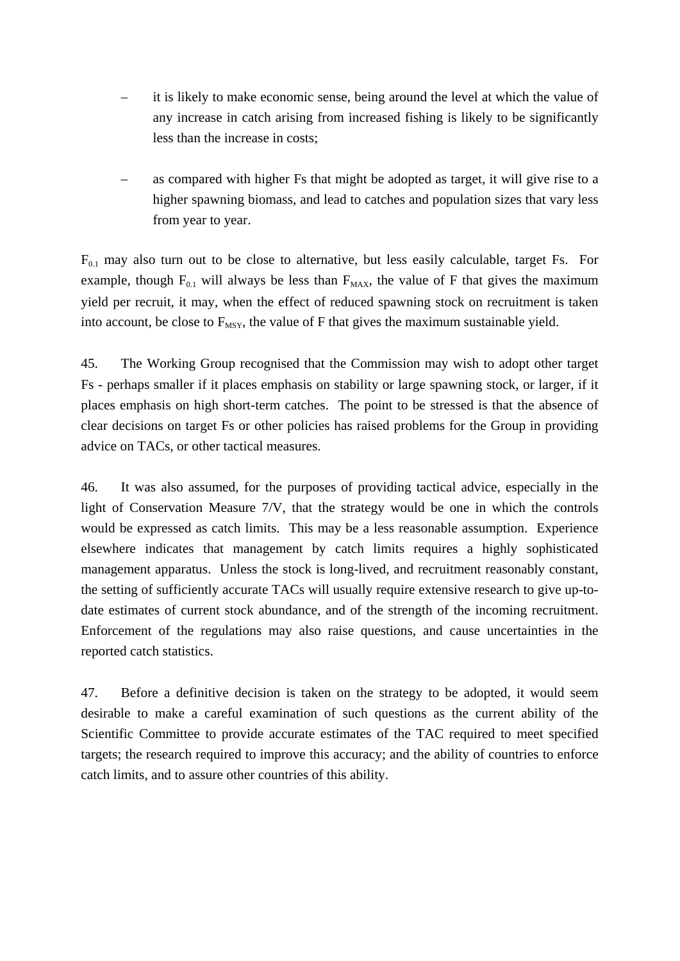- it is likely to make economic sense, being around the level at which the value of any increase in catch arising from increased fishing is likely to be significantly less than the increase in costs;
- as compared with higher Fs that might be adopted as target, it will give rise to a higher spawning biomass, and lead to catches and population sizes that vary less from year to year.

 $F_{0,1}$  may also turn out to be close to alternative, but less easily calculable, target Fs. For example, though  $F_{0,1}$  will always be less than  $F_{MAX}$ , the value of F that gives the maximum yield per recruit, it may, when the effect of reduced spawning stock on recruitment is taken into account, be close to  $F_{MSY}$ , the value of F that gives the maximum sustainable yield.

45. The Working Group recognised that the Commission may wish to adopt other target Fs - perhaps smaller if it places emphasis on stability or large spawning stock, or larger, if it places emphasis on high short-term catches. The point to be stressed is that the absence of clear decisions on target Fs or other policies has raised problems for the Group in providing advice on TACs, or other tactical measures.

46. It was also assumed, for the purposes of providing tactical advice, especially in the light of Conservation Measure 7/V, that the strategy would be one in which the controls would be expressed as catch limits. This may be a less reasonable assumption. Experience elsewhere indicates that management by catch limits requires a highly sophisticated management apparatus. Unless the stock is long-lived, and recruitment reasonably constant, the setting of sufficiently accurate TACs will usually require extensive research to give up-todate estimates of current stock abundance, and of the strength of the incoming recruitment. Enforcement of the regulations may also raise questions, and cause uncertainties in the reported catch statistics.

47. Before a definitive decision is taken on the strategy to be adopted, it would seem desirable to make a careful examination of such questions as the current ability of the Scientific Committee to provide accurate estimates of the TAC required to meet specified targets; the research required to improve this accuracy; and the ability of countries to enforce catch limits, and to assure other countries of this ability.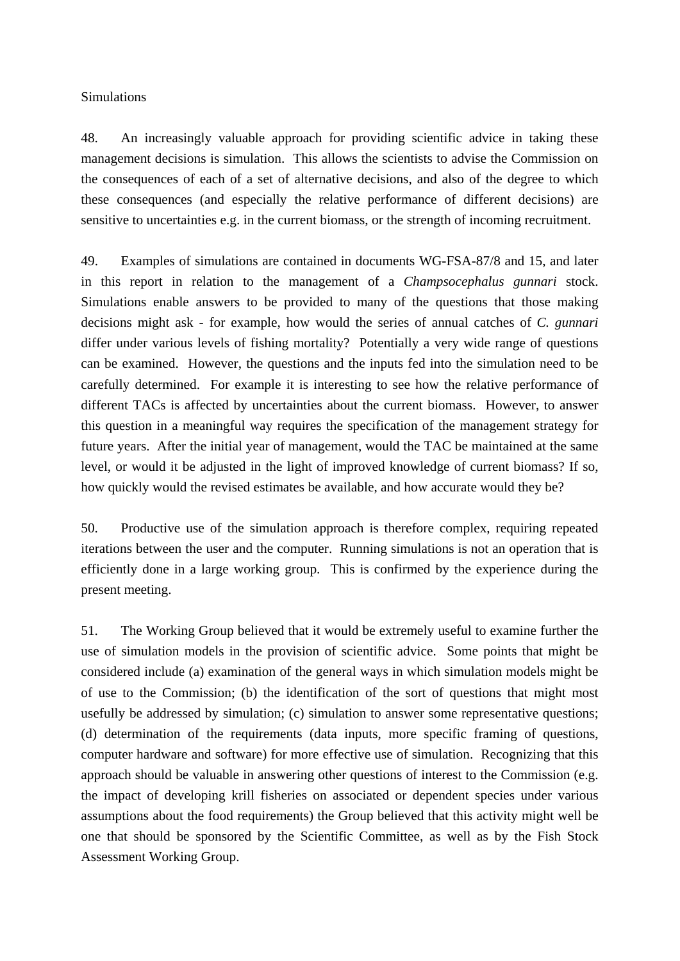### Simulations

48. An increasingly valuable approach for providing scientific advice in taking these management decisions is simulation. This allows the scientists to advise the Commission on the consequences of each of a set of alternative decisions, and also of the degree to which these consequences (and especially the relative performance of different decisions) are sensitive to uncertainties e.g. in the current biomass, or the strength of incoming recruitment.

49. Examples of simulations are contained in documents WG-FSA-87/8 and 15, and later in this report in relation to the management of a *Champsocephalus gunnari* stock. Simulations enable answers to be provided to many of the questions that those making decisions might ask - for example, how would the series of annual catches of *C. gunnari* differ under various levels of fishing mortality? Potentially a very wide range of questions can be examined. However, the questions and the inputs fed into the simulation need to be carefully determined. For example it is interesting to see how the relative performance of different TACs is affected by uncertainties about the current biomass. However, to answer this question in a meaningful way requires the specification of the management strategy for future years. After the initial year of management, would the TAC be maintained at the same level, or would it be adjusted in the light of improved knowledge of current biomass? If so, how quickly would the revised estimates be available, and how accurate would they be?

50. Productive use of the simulation approach is therefore complex, requiring repeated iterations between the user and the computer. Running simulations is not an operation that is efficiently done in a large working group. This is confirmed by the experience during the present meeting.

51. The Working Group believed that it would be extremely useful to examine further the use of simulation models in the provision of scientific advice. Some points that might be considered include (a) examination of the general ways in which simulation models might be of use to the Commission; (b) the identification of the sort of questions that might most usefully be addressed by simulation; (c) simulation to answer some representative questions; (d) determination of the requirements (data inputs, more specific framing of questions, computer hardware and software) for more effective use of simulation. Recognizing that this approach should be valuable in answering other questions of interest to the Commission (e.g. the impact of developing krill fisheries on associated or dependent species under various assumptions about the food requirements) the Group believed that this activity might well be one that should be sponsored by the Scientific Committee, as well as by the Fish Stock Assessment Working Group.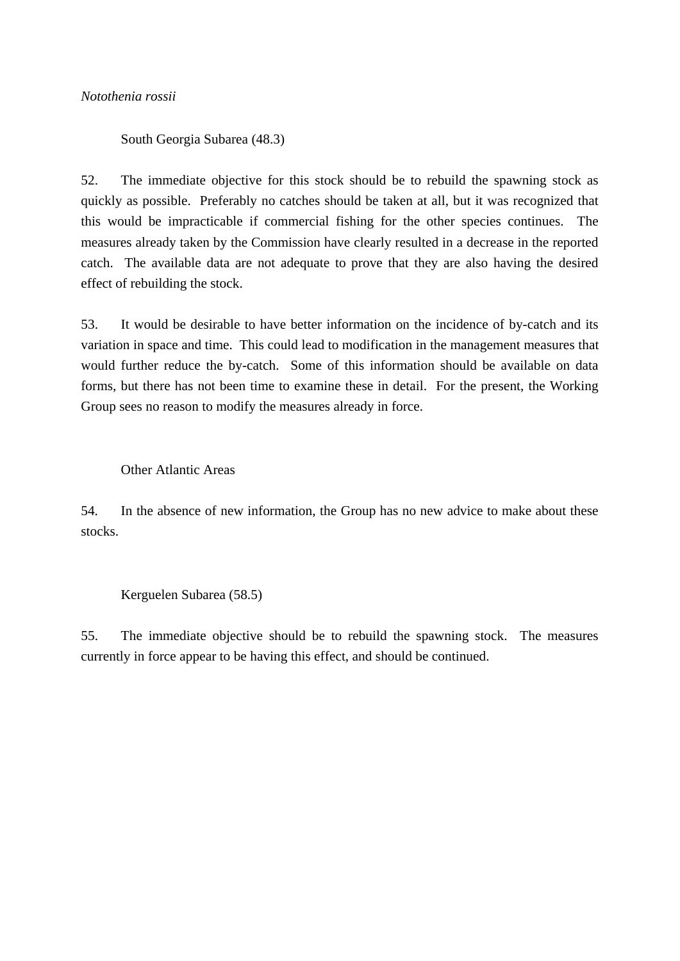# *Notothenia rossii*

South Georgia Subarea (48.3)

52. The immediate objective for this stock should be to rebuild the spawning stock as quickly as possible. Preferably no catches should be taken at all, but it was recognized that this would be impracticable if commercial fishing for the other species continues. The measures already taken by the Commission have clearly resulted in a decrease in the reported catch. The available data are not adequate to prove that they are also having the desired effect of rebuilding the stock.

53. It would be desirable to have better information on the incidence of by-catch and its variation in space and time. This could lead to modification in the management measures that would further reduce the by-catch. Some of this information should be available on data forms, but there has not been time to examine these in detail. For the present, the Working Group sees no reason to modify the measures already in force.

### Other Atlantic Areas

54. In the absence of new information, the Group has no new advice to make about these stocks.

# Kerguelen Subarea (58.5)

55. The immediate objective should be to rebuild the spawning stock. The measures currently in force appear to be having this effect, and should be continued.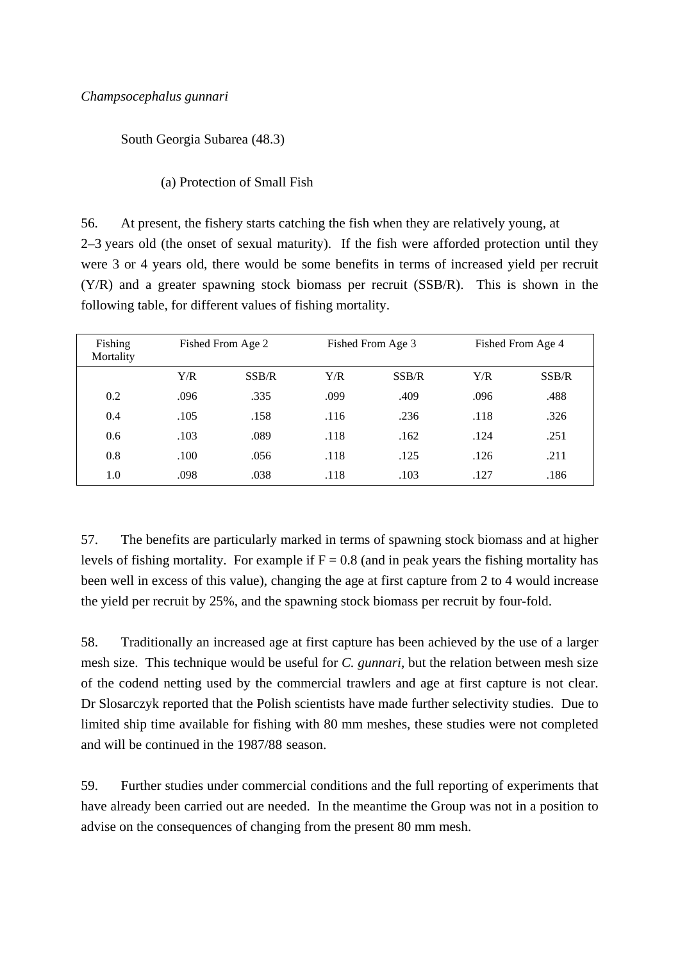South Georgia Subarea (48.3)

(a) Protection of Small Fish

56. At present, the fishery starts catching the fish when they are relatively young, at 2–3 years old (the onset of sexual maturity). If the fish were afforded protection until they were 3 or 4 years old, there would be some benefits in terms of increased yield per recruit (Y/R) and a greater spawning stock biomass per recruit (SSB/R). This is shown in the following table, for different values of fishing mortality.

| Fishing<br>Mortality |      | Fished From Age 2 |      | Fished From Age 3 |      | Fished From Age 4 |  |
|----------------------|------|-------------------|------|-------------------|------|-------------------|--|
|                      | Y/R  | SSB/R             | Y/R  | SSB/R             | Y/R  | SSB/R             |  |
| 0.2                  | .096 | .335              | .099 | .409              | .096 | .488              |  |
| 0.4                  | .105 | .158              | .116 | .236              | .118 | .326              |  |
| 0.6                  | .103 | .089              | .118 | .162              | .124 | .251              |  |
| 0.8                  | .100 | .056              | .118 | .125              | .126 | .211              |  |
| 1.0                  | .098 | .038              | .118 | .103              | .127 | .186              |  |

57. The benefits are particularly marked in terms of spawning stock biomass and at higher levels of fishing mortality. For example if  $F = 0.8$  (and in peak years the fishing mortality has been well in excess of this value), changing the age at first capture from 2 to 4 would increase the yield per recruit by 25%, and the spawning stock biomass per recruit by four-fold.

58. Traditionally an increased age at first capture has been achieved by the use of a larger mesh size. This technique would be useful for *C. gunnari*, but the relation between mesh size of the codend netting used by the commercial trawlers and age at first capture is not clear. Dr Slosarczyk reported that the Polish scientists have made further selectivity studies. Due to limited ship time available for fishing with 80 mm meshes, these studies were not completed and will be continued in the 1987/88 season.

59. Further studies under commercial conditions and the full reporting of experiments that have already been carried out are needed. In the meantime the Group was not in a position to advise on the consequences of changing from the present 80 mm mesh.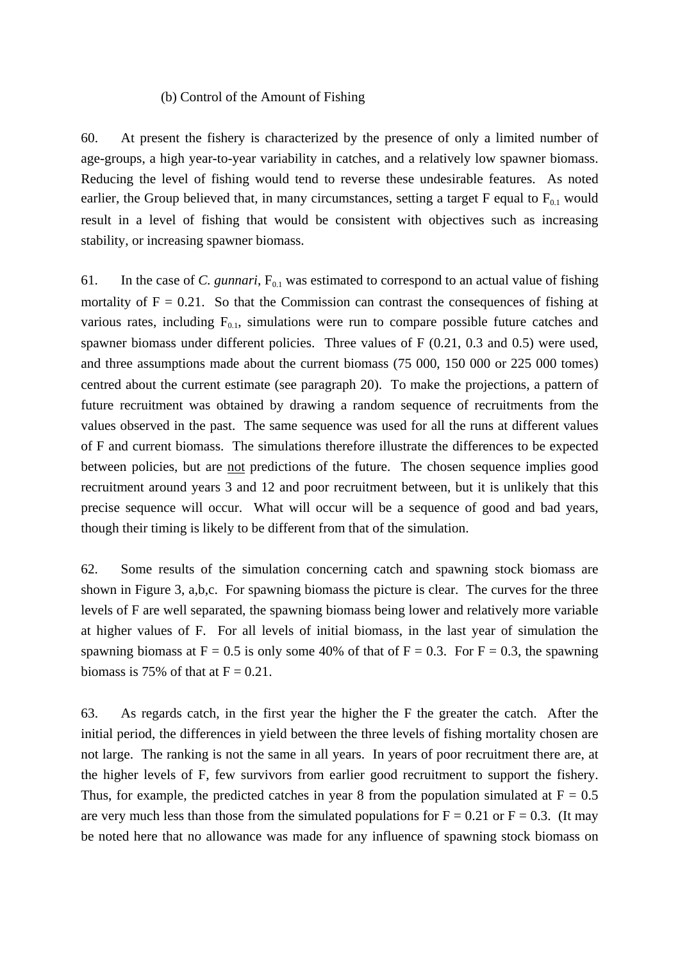#### (b) Control of the Amount of Fishing

60. At present the fishery is characterized by the presence of only a limited number of age-groups, a high year-to-year variability in catches, and a relatively low spawner biomass. Reducing the level of fishing would tend to reverse these undesirable features. As noted earlier, the Group believed that, in many circumstances, setting a target F equal to  $F_{0,1}$  would result in a level of fishing that would be consistent with objectives such as increasing stability, or increasing spawner biomass.

61. In the case of *C. gunnari*,  $F_{0.1}$  was estimated to correspond to an actual value of fishing mortality of  $F = 0.21$ . So that the Commission can contrast the consequences of fishing at various rates, including  $F_{0,1}$ , simulations were run to compare possible future catches and spawner biomass under different policies. Three values of F (0.21, 0.3 and 0.5) were used, and three assumptions made about the current biomass (75 000, 150 000 or 225 000 tomes) centred about the current estimate (see paragraph 20). To make the projections, a pattern of future recruitment was obtained by drawing a random sequence of recruitments from the values observed in the past. The same sequence was used for all the runs at different values of F and current biomass. The simulations therefore illustrate the differences to be expected between policies, but are not predictions of the future. The chosen sequence implies good recruitment around years 3 and 12 and poor recruitment between, but it is unlikely that this precise sequence will occur. What will occur will be a sequence of good and bad years, though their timing is likely to be different from that of the simulation.

62. Some results of the simulation concerning catch and spawning stock biomass are shown in Figure 3, a,b,c. For spawning biomass the picture is clear. The curves for the three levels of F are well separated, the spawning biomass being lower and relatively more variable at higher values of F. For all levels of initial biomass, in the last year of simulation the spawning biomass at  $F = 0.5$  is only some 40% of that of  $F = 0.3$ . For  $F = 0.3$ , the spawning biomass is 75% of that at  $F = 0.21$ .

63. As regards catch, in the first year the higher the F the greater the catch. After the initial period, the differences in yield between the three levels of fishing mortality chosen are not large. The ranking is not the same in all years. In years of poor recruitment there are, at the higher levels of F, few survivors from earlier good recruitment to support the fishery. Thus, for example, the predicted catches in year 8 from the population simulated at  $F = 0.5$ are very much less than those from the simulated populations for  $F = 0.21$  or  $F = 0.3$ . (It may be noted here that no allowance was made for any influence of spawning stock biomass on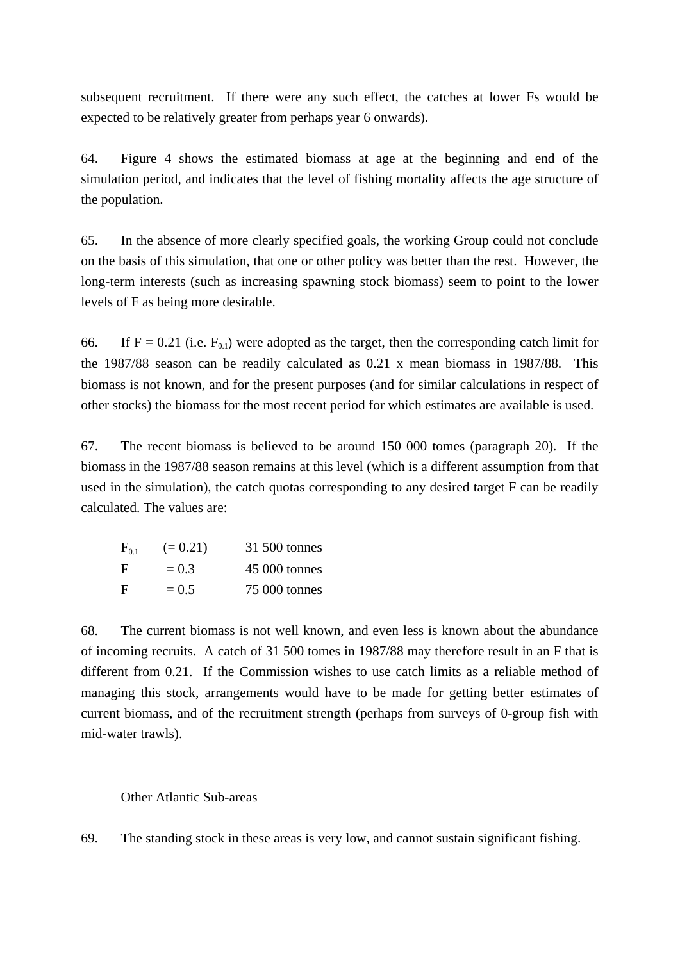subsequent recruitment. If there were any such effect, the catches at lower Fs would be expected to be relatively greater from perhaps year 6 onwards).

64. Figure 4 shows the estimated biomass at age at the beginning and end of the simulation period, and indicates that the level of fishing mortality affects the age structure of the population.

65. In the absence of more clearly specified goals, the working Group could not conclude on the basis of this simulation, that one or other policy was better than the rest. However, the long-term interests (such as increasing spawning stock biomass) seem to point to the lower levels of F as being more desirable.

66. If F = 0.21 (i.e.  $F_{0,1}$ ) were adopted as the target, then the corresponding catch limit for the 1987/88 season can be readily calculated as 0.21 x mean biomass in 1987/88. This biomass is not known, and for the present purposes (and for similar calculations in respect of other stocks) the biomass for the most recent period for which estimates are available is used.

67. The recent biomass is believed to be around 150 000 tomes (paragraph 20). If the biomass in the 1987/88 season remains at this level (which is a different assumption from that used in the simulation), the catch quotas corresponding to any desired target F can be readily calculated. The values are:

| $F_{0,1}$ | $(= 0.21)$ | 31 500 tonnes |
|-----------|------------|---------------|
| Е.        | $= 0.3$    | 45 000 tonnes |
| Е.        | $= 0.5$    | 75 000 tonnes |

68. The current biomass is not well known, and even less is known about the abundance of incoming recruits. A catch of 31 500 tomes in 1987/88 may therefore result in an F that is different from 0.21. If the Commission wishes to use catch limits as a reliable method of managing this stock, arrangements would have to be made for getting better estimates of current biomass, and of the recruitment strength (perhaps from surveys of 0-group fish with mid-water trawls).

### Other Atlantic Sub-areas

69. The standing stock in these areas is very low, and cannot sustain significant fishing.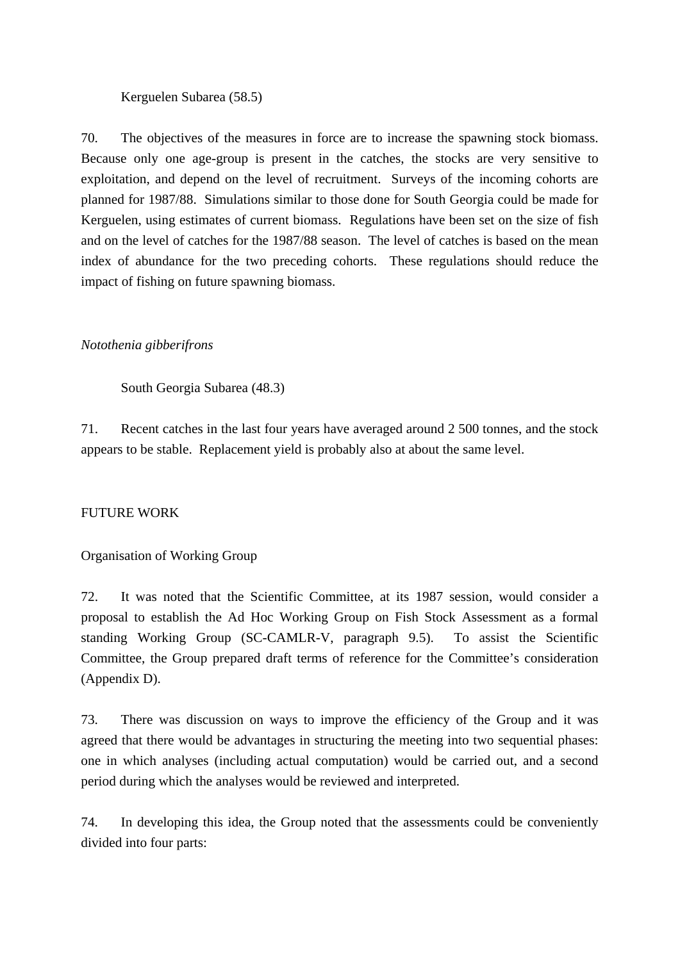## Kerguelen Subarea (58.5)

70. The objectives of the measures in force are to increase the spawning stock biomass. Because only one age-group is present in the catches, the stocks are very sensitive to exploitation, and depend on the level of recruitment. Surveys of the incoming cohorts are planned for 1987/88. Simulations similar to those done for South Georgia could be made for Kerguelen, using estimates of current biomass. Regulations have been set on the size of fish and on the level of catches for the 1987/88 season. The level of catches is based on the mean index of abundance for the two preceding cohorts. These regulations should reduce the impact of fishing on future spawning biomass.

# *Notothenia gibberifrons*

South Georgia Subarea (48.3)

71. Recent catches in the last four years have averaged around 2 500 tonnes, and the stock appears to be stable. Replacement yield is probably also at about the same level.

# FUTURE WORK

### Organisation of Working Group

72. It was noted that the Scientific Committee, at its 1987 session, would consider a proposal to establish the Ad Hoc Working Group on Fish Stock Assessment as a formal standing Working Group (SC-CAMLR-V, paragraph 9.5). To assist the Scientific Committee, the Group prepared draft terms of reference for the Committee's consideration (Appendix D).

73. There was discussion on ways to improve the efficiency of the Group and it was agreed that there would be advantages in structuring the meeting into two sequential phases: one in which analyses (including actual computation) would be carried out, and a second period during which the analyses would be reviewed and interpreted.

74. In developing this idea, the Group noted that the assessments could be conveniently divided into four parts: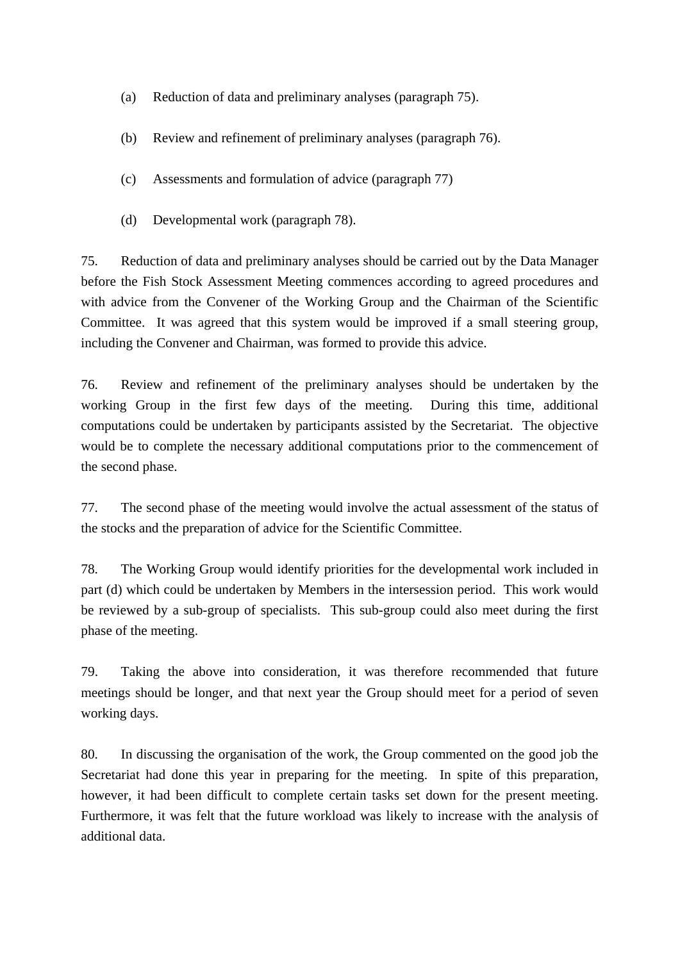- (a) Reduction of data and preliminary analyses (paragraph 75).
- (b) Review and refinement of preliminary analyses (paragraph 76).
- (c) Assessments and formulation of advice (paragraph 77)
- (d) Developmental work (paragraph 78).

75. Reduction of data and preliminary analyses should be carried out by the Data Manager before the Fish Stock Assessment Meeting commences according to agreed procedures and with advice from the Convener of the Working Group and the Chairman of the Scientific Committee. It was agreed that this system would be improved if a small steering group, including the Convener and Chairman, was formed to provide this advice.

76. Review and refinement of the preliminary analyses should be undertaken by the working Group in the first few days of the meeting. During this time, additional computations could be undertaken by participants assisted by the Secretariat. The objective would be to complete the necessary additional computations prior to the commencement of the second phase.

77. The second phase of the meeting would involve the actual assessment of the status of the stocks and the preparation of advice for the Scientific Committee.

78. The Working Group would identify priorities for the developmental work included in part (d) which could be undertaken by Members in the intersession period. This work would be reviewed by a sub-group of specialists. This sub-group could also meet during the first phase of the meeting.

79. Taking the above into consideration, it was therefore recommended that future meetings should be longer, and that next year the Group should meet for a period of seven working days.

80. In discussing the organisation of the work, the Group commented on the good job the Secretariat had done this year in preparing for the meeting. In spite of this preparation, however, it had been difficult to complete certain tasks set down for the present meeting. Furthermore, it was felt that the future workload was likely to increase with the analysis of additional data.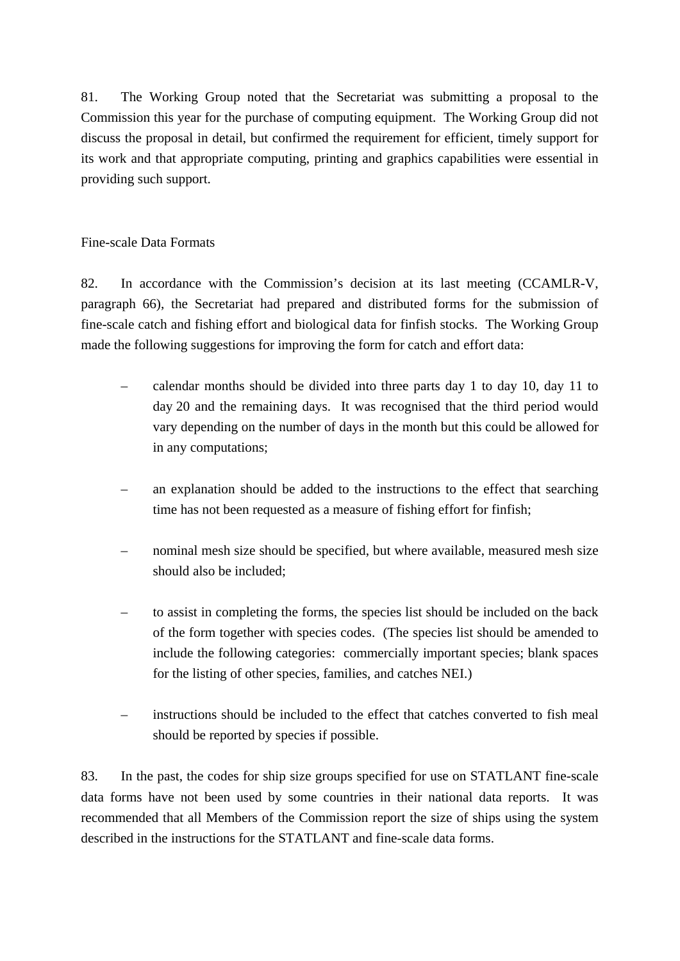81. The Working Group noted that the Secretariat was submitting a proposal to the Commission this year for the purchase of computing equipment. The Working Group did not discuss the proposal in detail, but confirmed the requirement for efficient, timely support for its work and that appropriate computing, printing and graphics capabilities were essential in providing such support.

# Fine-scale Data Formats

82. In accordance with the Commission's decision at its last meeting (CCAMLR-V, paragraph 66), the Secretariat had prepared and distributed forms for the submission of fine-scale catch and fishing effort and biological data for finfish stocks. The Working Group made the following suggestions for improving the form for catch and effort data:

- calendar months should be divided into three parts day 1 to day 10, day 11 to day 20 and the remaining days. It was recognised that the third period would vary depending on the number of days in the month but this could be allowed for in any computations;
- an explanation should be added to the instructions to the effect that searching time has not been requested as a measure of fishing effort for finfish;
- nominal mesh size should be specified, but where available, measured mesh size should also be included;
- to assist in completing the forms, the species list should be included on the back of the form together with species codes. (The species list should be amended to include the following categories: commercially important species; blank spaces for the listing of other species, families, and catches NEI.)
- instructions should be included to the effect that catches converted to fish meal should be reported by species if possible.

83. In the past, the codes for ship size groups specified for use on STATLANT fine-scale data forms have not been used by some countries in their national data reports. It was recommended that all Members of the Commission report the size of ships using the system described in the instructions for the STATLANT and fine-scale data forms.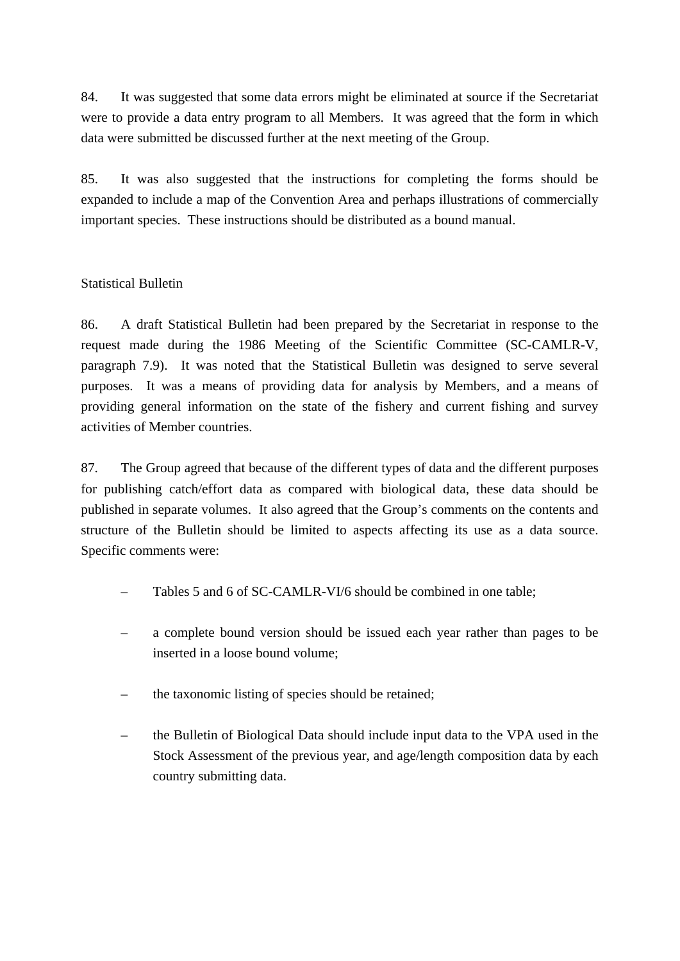84. It was suggested that some data errors might be eliminated at source if the Secretariat were to provide a data entry program to all Members. It was agreed that the form in which data were submitted be discussed further at the next meeting of the Group.

85. It was also suggested that the instructions for completing the forms should be expanded to include a map of the Convention Area and perhaps illustrations of commercially important species. These instructions should be distributed as a bound manual.

# Statistical Bulletin

86. A draft Statistical Bulletin had been prepared by the Secretariat in response to the request made during the 1986 Meeting of the Scientific Committee (SC-CAMLR-V, paragraph 7.9). It was noted that the Statistical Bulletin was designed to serve several purposes. It was a means of providing data for analysis by Members, and a means of providing general information on the state of the fishery and current fishing and survey activities of Member countries.

87. The Group agreed that because of the different types of data and the different purposes for publishing catch/effort data as compared with biological data, these data should be published in separate volumes. It also agreed that the Group's comments on the contents and structure of the Bulletin should be limited to aspects affecting its use as a data source. Specific comments were:

- Tables 5 and 6 of SC-CAMLR-VI/6 should be combined in one table;
- a complete bound version should be issued each year rather than pages to be inserted in a loose bound volume;
- the taxonomic listing of species should be retained;
- the Bulletin of Biological Data should include input data to the VPA used in the Stock Assessment of the previous year, and age/length composition data by each country submitting data.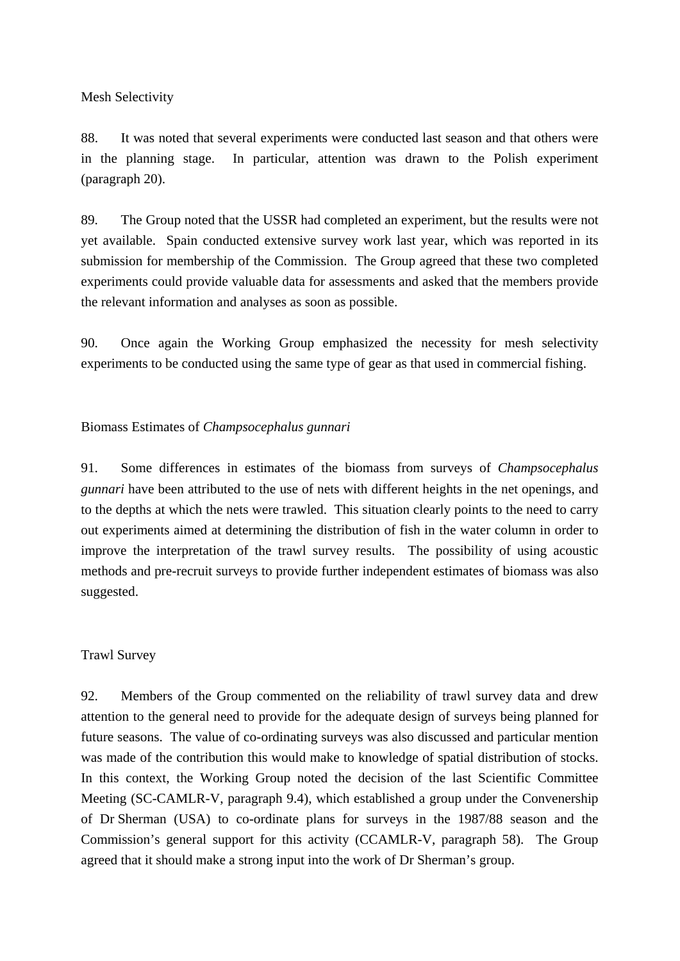Mesh Selectivity

88. It was noted that several experiments were conducted last season and that others were in the planning stage. In particular, attention was drawn to the Polish experiment (paragraph 20).

89. The Group noted that the USSR had completed an experiment, but the results were not yet available. Spain conducted extensive survey work last year, which was reported in its submission for membership of the Commission. The Group agreed that these two completed experiments could provide valuable data for assessments and asked that the members provide the relevant information and analyses as soon as possible.

90. Once again the Working Group emphasized the necessity for mesh selectivity experiments to be conducted using the same type of gear as that used in commercial fishing.

## Biomass Estimates of *Champsocephalus gunnari*

91. Some differences in estimates of the biomass from surveys of *Champsocephalus gunnari* have been attributed to the use of nets with different heights in the net openings, and to the depths at which the nets were trawled. This situation clearly points to the need to carry out experiments aimed at determining the distribution of fish in the water column in order to improve the interpretation of the trawl survey results. The possibility of using acoustic methods and pre-recruit surveys to provide further independent estimates of biomass was also suggested.

### Trawl Survey

92. Members of the Group commented on the reliability of trawl survey data and drew attention to the general need to provide for the adequate design of surveys being planned for future seasons. The value of co-ordinating surveys was also discussed and particular mention was made of the contribution this would make to knowledge of spatial distribution of stocks. In this context, the Working Group noted the decision of the last Scientific Committee Meeting (SC-CAMLR-V, paragraph 9.4), which established a group under the Convenership of Dr Sherman (USA) to co-ordinate plans for surveys in the 1987/88 season and the Commission's general support for this activity (CCAMLR-V, paragraph 58). The Group agreed that it should make a strong input into the work of Dr Sherman's group.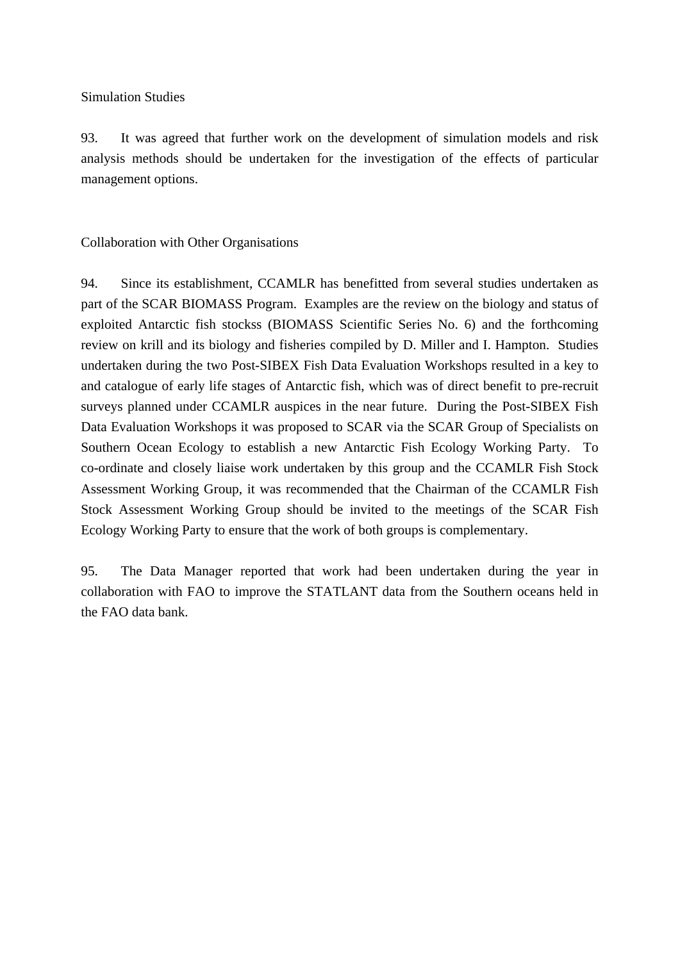Simulation Studies

93. It was agreed that further work on the development of simulation models and risk analysis methods should be undertaken for the investigation of the effects of particular management options.

# Collaboration with Other Organisations

94. Since its establishment, CCAMLR has benefitted from several studies undertaken as part of the SCAR BIOMASS Program. Examples are the review on the biology and status of exploited Antarctic fish stockss (BIOMASS Scientific Series No. 6) and the forthcoming review on krill and its biology and fisheries compiled by D. Miller and I. Hampton. Studies undertaken during the two Post-SIBEX Fish Data Evaluation Workshops resulted in a key to and catalogue of early life stages of Antarctic fish, which was of direct benefit to pre-recruit surveys planned under CCAMLR auspices in the near future. During the Post-SIBEX Fish Data Evaluation Workshops it was proposed to SCAR via the SCAR Group of Specialists on Southern Ocean Ecology to establish a new Antarctic Fish Ecology Working Party. To co-ordinate and closely liaise work undertaken by this group and the CCAMLR Fish Stock Assessment Working Group, it was recommended that the Chairman of the CCAMLR Fish Stock Assessment Working Group should be invited to the meetings of the SCAR Fish Ecology Working Party to ensure that the work of both groups is complementary.

95. The Data Manager reported that work had been undertaken during the year in collaboration with FAO to improve the STATLANT data from the Southern oceans held in the FAO data bank.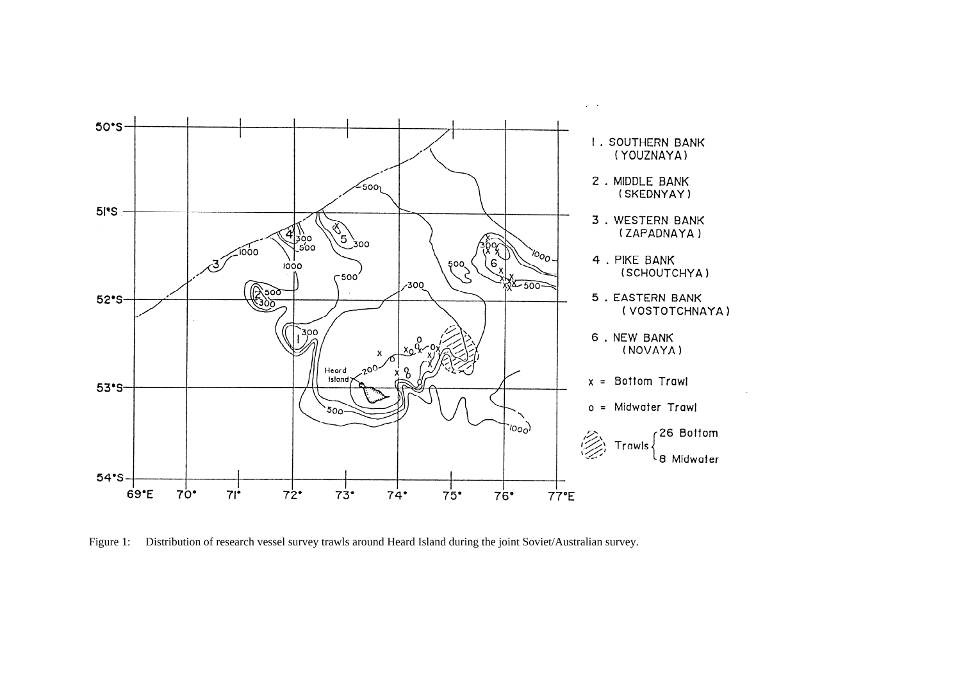

Figure 1: Distribution of research vessel survey trawls around Heard Island during the joint Soviet/Australian survey.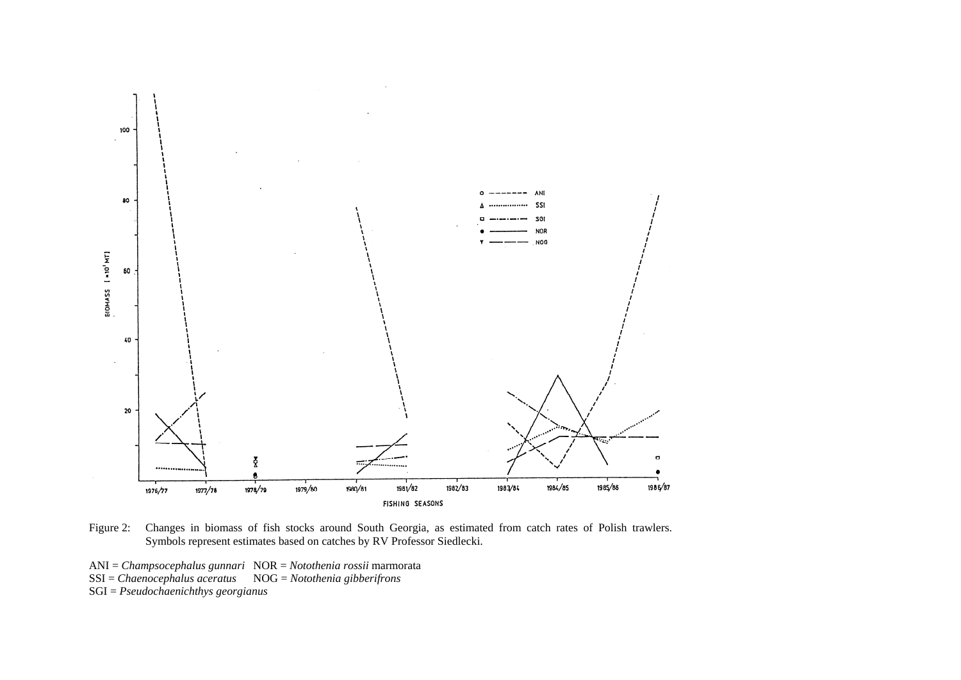

Figure 2: Changes in biomass of fish stocks around South Georgia, as estimated from catch rates of Polish trawlers. Symbols represent estimates based on catches by RV Professor Siedlecki.

- ANI = *Champsocephalus gunnari* NOR = *Notothenia rossii* marmorata
- SSI = *Chaenocephalus aceratus* NOG = *Notothenia gibberifrons*
- SGI = *Pseudochaenichthys georgianus*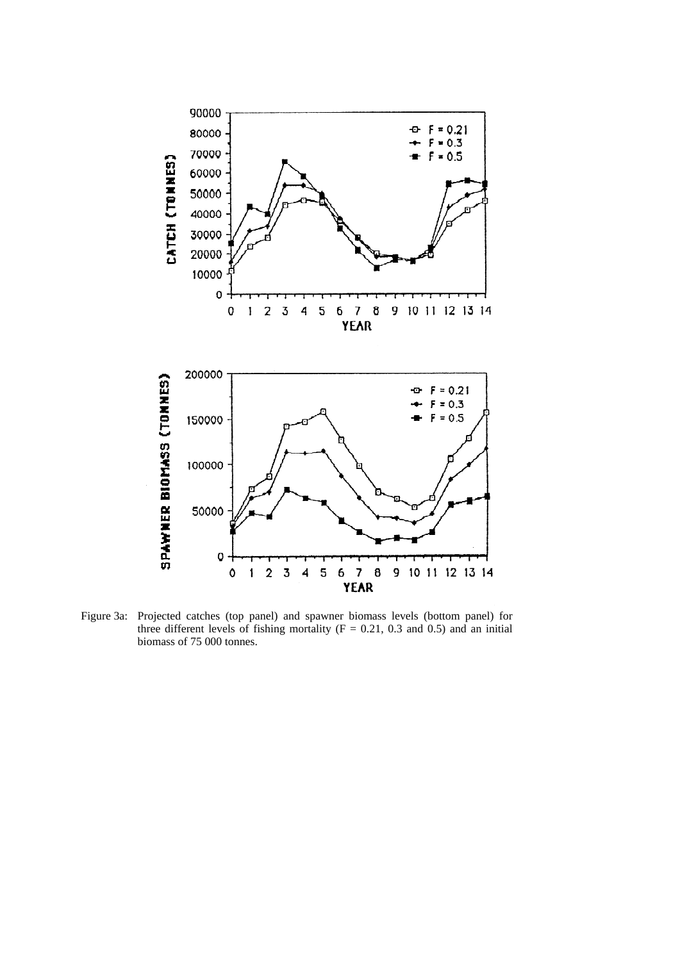

Figure 3a: Projected catches (top panel) and spawner biomass levels (bottom panel) for three different levels of fishing mortality ( $F = 0.21$ , 0.3 and 0.5) and an initial biomass of 75 000 tonnes.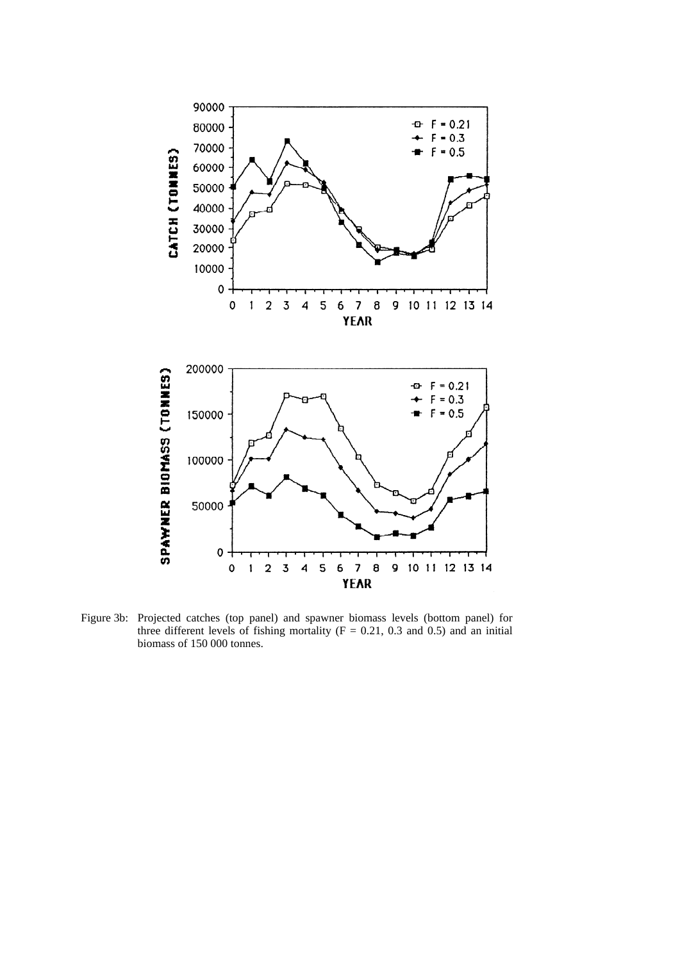

Figure 3b: Projected catches (top panel) and spawner biomass levels (bottom panel) for three different levels of fishing mortality ( $F = 0.21$ , 0.3 and 0.5) and an initial biomass of 150 000 tonnes.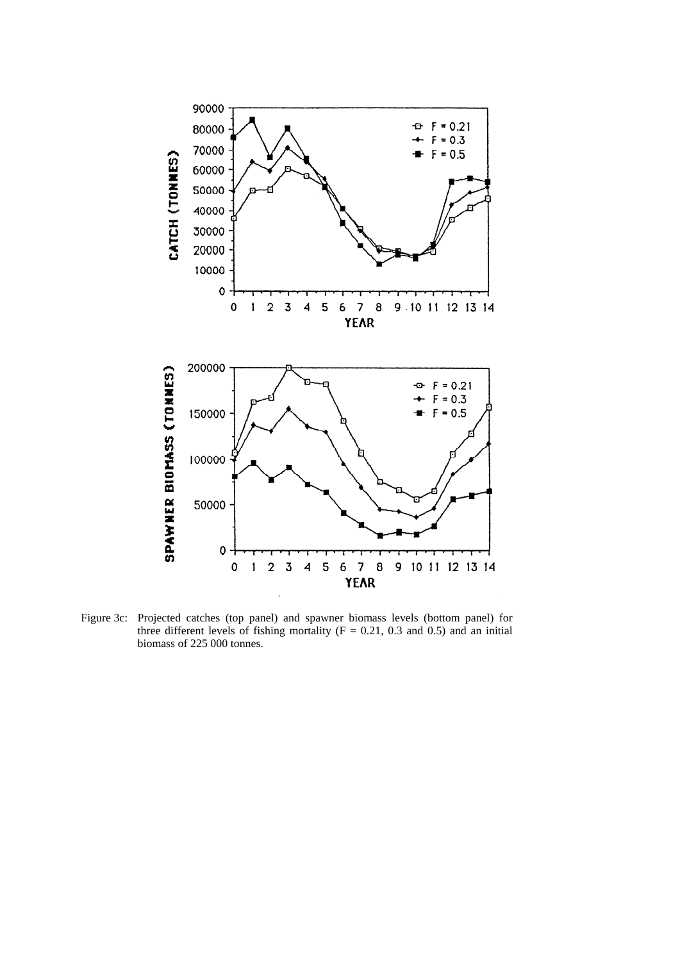

Figure 3c: Projected catches (top panel) and spawner biomass levels (bottom panel) for three different levels of fishing mortality ( $F = 0.21$ , 0.3 and 0.5) and an initial biomass of 225 000 tonnes.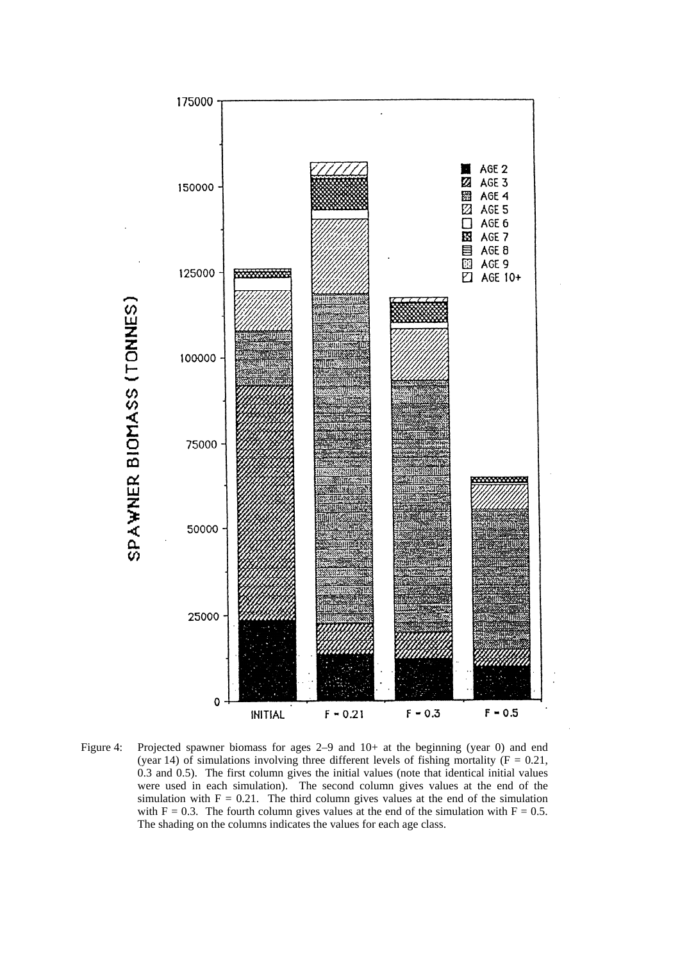

Figure 4: Projected spawner biomass for ages 2–9 and 10+ at the beginning (year 0) and end (year 14) of simulations involving three different levels of fishing mortality ( $F = 0.21$ , 0.3 and 0.5). The first column gives the initial values (note that identical initial values were used in each simulation). The second column gives values at the end of the simulation with  $F = 0.21$ . The third column gives values at the end of the simulation with  $F = 0.3$ . The fourth column gives values at the end of the simulation with  $F = 0.5$ . The shading on the columns indicates the values for each age class.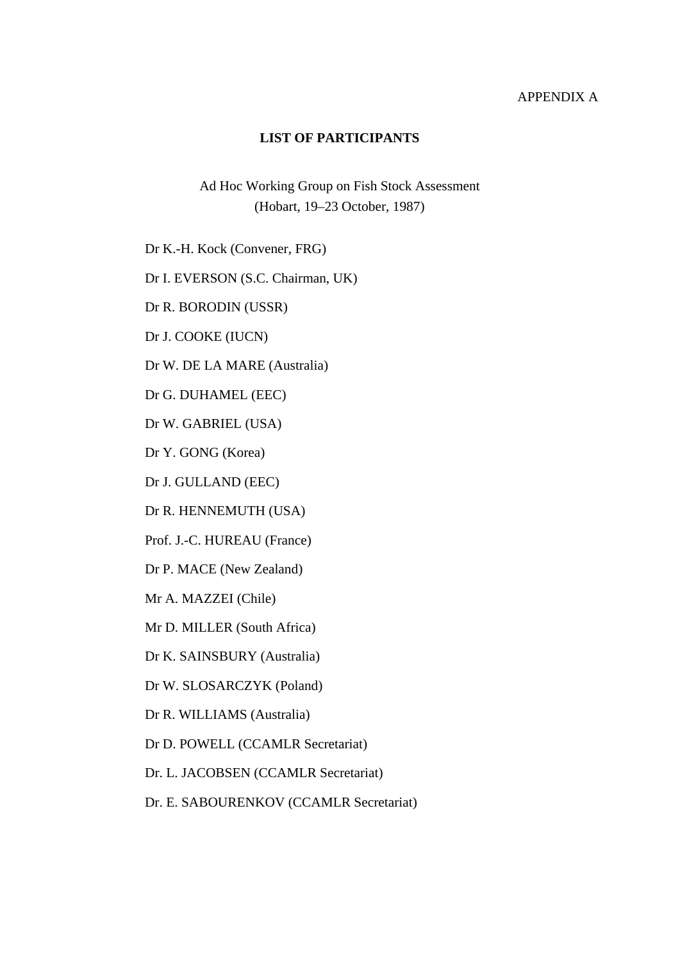### APPENDIX A

#### **LIST OF PARTICIPANTS**

Ad Hoc Working Group on Fish Stock Assessment (Hobart, 19–23 October, 1987)

Dr K.-H. Kock (Convener, FRG)

Dr I. EVERSON (S.C. Chairman, UK)

Dr R. BORODIN (USSR)

Dr J. COOKE (IUCN)

Dr W. DE LA MARE (Australia)

Dr G. DUHAMEL (EEC)

Dr W. GABRIEL (USA)

Dr Y. GONG (Korea)

Dr J. GULLAND (EEC)

Dr R. HENNEMUTH (USA)

Prof. J.-C. HUREAU (France)

Dr P. MACE (New Zealand)

Mr A. MAZZEI (Chile)

Mr D. MILLER (South Africa)

Dr K. SAINSBURY (Australia)

Dr W. SLOSARCZYK (Poland)

Dr R. WILLIAMS (Australia)

Dr D. POWELL (CCAMLR Secretariat)

Dr. L. JACOBSEN (CCAMLR Secretariat)

Dr. E. SABOURENKOV (CCAMLR Secretariat)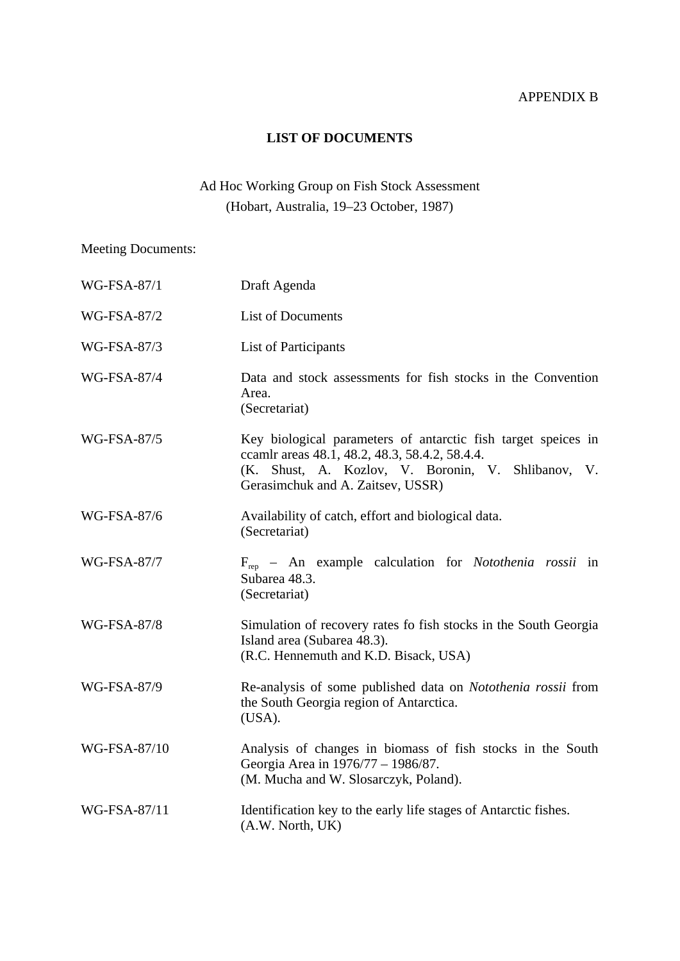# APPENDIX B

## **LIST OF DOCUMENTS**

# Ad Hoc Working Group on Fish Stock Assessment (Hobart, Australia, 19–23 October, 1987)

Meeting Documents:

| <b>WG-FSA-87/1</b> | Draft Agenda                                                                                                                                                                                               |
|--------------------|------------------------------------------------------------------------------------------------------------------------------------------------------------------------------------------------------------|
| WG-FSA-87/2        | <b>List of Documents</b>                                                                                                                                                                                   |
| <b>WG-FSA-87/3</b> | List of Participants                                                                                                                                                                                       |
| <b>WG-FSA-87/4</b> | Data and stock assessments for fish stocks in the Convention<br>Area.<br>(Secretariat)                                                                                                                     |
| <b>WG-FSA-87/5</b> | Key biological parameters of antarctic fish target speices in<br>ccamlr areas 48.1, 48.2, 48.3, 58.4.2, 58.4.4.<br>(K. Shust, A. Kozlov, V. Boronin, V. Shlibanov, V.<br>Gerasimchuk and A. Zaitsev, USSR) |
| WG-FSA-87/6        | Availability of catch, effort and biological data.<br>(Secretariat)                                                                                                                                        |
| <b>WG-FSA-87/7</b> | $F_{\text{rep}}$ – An example calculation for <i>Notothenia rossii</i> in<br>Subarea 48.3.<br>(Secretariat)                                                                                                |
| <b>WG-FSA-87/8</b> | Simulation of recovery rates fo fish stocks in the South Georgia<br>Island area (Subarea 48.3).<br>(R.C. Hennemuth and K.D. Bisack, USA)                                                                   |
| WG-FSA-87/9        | Re-analysis of some published data on Notothenia rossii from<br>the South Georgia region of Antarctica.<br>(USA).                                                                                          |
| WG-FSA-87/10       | Analysis of changes in biomass of fish stocks in the South<br>Georgia Area in 1976/77 - 1986/87.<br>(M. Mucha and W. Slosarczyk, Poland).                                                                  |
| WG-FSA-87/11       | Identification key to the early life stages of Antarctic fishes.<br>(A.W. North, UK)                                                                                                                       |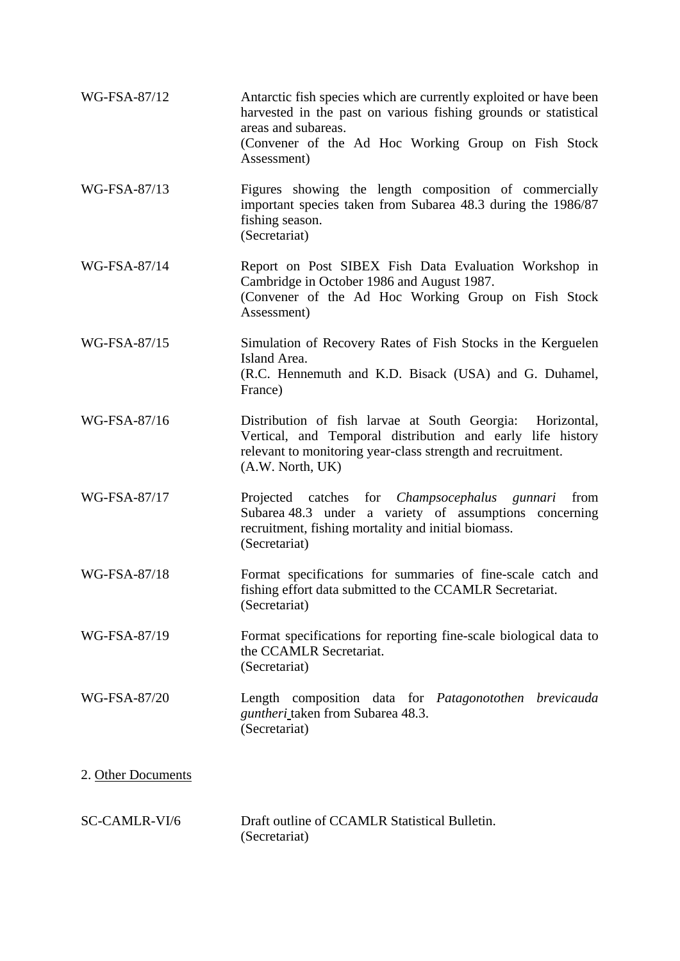| WG-FSA-87/12         | Antarctic fish species which are currently exploited or have been<br>harvested in the past on various fishing grounds or statistical<br>areas and subareas.                                                |
|----------------------|------------------------------------------------------------------------------------------------------------------------------------------------------------------------------------------------------------|
|                      | (Convener of the Ad Hoc Working Group on Fish Stock<br>Assessment)                                                                                                                                         |
| WG-FSA-87/13         | Figures showing the length composition of commercially<br>important species taken from Subarea 48.3 during the 1986/87<br>fishing season.<br>(Secretariat)                                                 |
| WG-FSA-87/14         | Report on Post SIBEX Fish Data Evaluation Workshop in<br>Cambridge in October 1986 and August 1987.<br>(Convener of the Ad Hoc Working Group on Fish Stock<br>Assessment)                                  |
| WG-FSA-87/15         | Simulation of Recovery Rates of Fish Stocks in the Kerguelen<br>Island Area.<br>(R.C. Hennemuth and K.D. Bisack (USA) and G. Duhamel,<br>France)                                                           |
| WG-FSA-87/16         | Distribution of fish larvae at South Georgia: Horizontal,<br>Vertical, and Temporal distribution and early life history<br>relevant to monitoring year-class strength and recruitment.<br>(A.W. North, UK) |
| WG-FSA-87/17         | Projected catches for <i>Champsocephalus gunnari</i><br>from<br>Subarea 48.3 under a variety of assumptions concerning<br>recruitment, fishing mortality and initial biomass.<br>(Secretariat)             |
| WG-FSA-87/18         | Format specifications for summaries of fine-scale catch and<br>fishing effort data submitted to the CCAMLR Secretariat.<br>(Secretariat)                                                                   |
| WG-FSA-87/19         | Format specifications for reporting fine-scale biological data to<br>the CCAMLR Secretariat.<br>(Secretariat)                                                                                              |
| WG-FSA-87/20         | Length composition data for Patagonotothen brevicauda<br>guntheri_taken from Subarea 48.3.<br>(Secretariat)                                                                                                |
| 2. Other Documents   |                                                                                                                                                                                                            |
| <b>SC-CAMLR-VI/6</b> | Draft outline of CCAMLR Statistical Bulletin.<br>(Secretariat)                                                                                                                                             |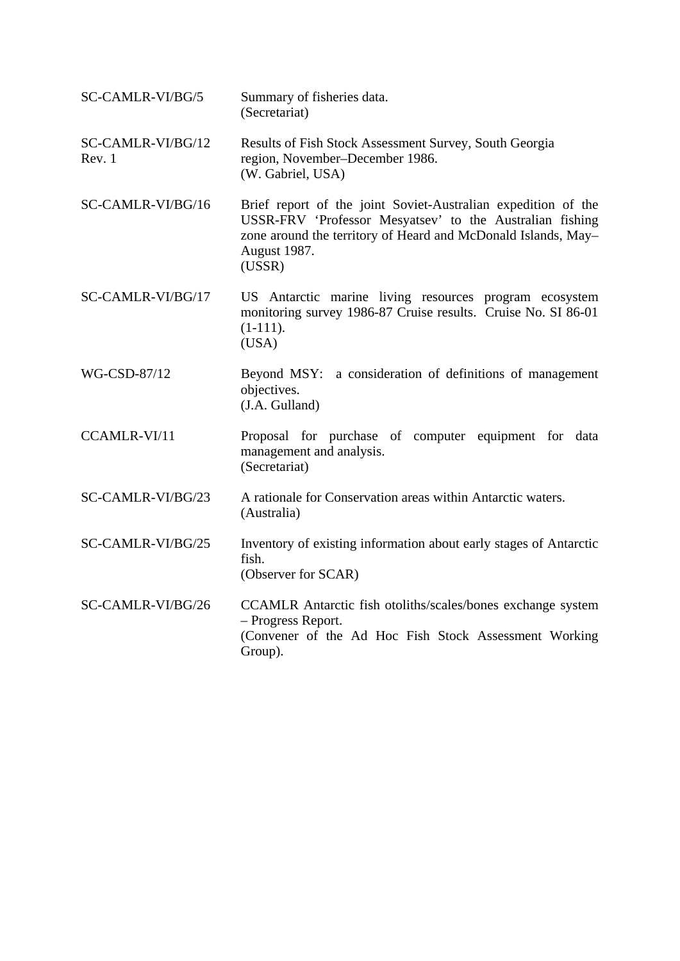| SC-CAMLR-VI/BG/5            | Summary of fisheries data.<br>(Secretariat)                                                                                                                                                                          |
|-----------------------------|----------------------------------------------------------------------------------------------------------------------------------------------------------------------------------------------------------------------|
| SC-CAMLR-VI/BG/12<br>Rev. 1 | Results of Fish Stock Assessment Survey, South Georgia<br>region, November-December 1986.<br>(W. Gabriel, USA)                                                                                                       |
| SC-CAMLR-VI/BG/16           | Brief report of the joint Soviet-Australian expedition of the<br>USSR-FRV 'Professor Mesyatsev' to the Australian fishing<br>zone around the territory of Heard and McDonald Islands, May-<br>August 1987.<br>(USSR) |
| SC-CAMLR-VI/BG/17           | US Antarctic marine living resources program ecosystem<br>monitoring survey 1986-87 Cruise results. Cruise No. SI 86-01<br>$(1-111).$<br>(USA)                                                                       |
| WG-CSD-87/12                | Beyond MSY: a consideration of definitions of management<br>objectives.<br>(J.A. Gulland)                                                                                                                            |
| CCAMLR-VI/11                | Proposal for purchase of computer equipment for data<br>management and analysis.<br>(Secretariat)                                                                                                                    |
| SC-CAMLR-VI/BG/23           | A rationale for Conservation areas within Antarctic waters.<br>(Australia)                                                                                                                                           |
| SC-CAMLR-VI/BG/25           | Inventory of existing information about early stages of Antarctic<br>fish.<br>(Observer for SCAR)                                                                                                                    |
| SC-CAMLR-VI/BG/26           | CCAMLR Antarctic fish otoliths/scales/bones exchange system<br>- Progress Report.<br>(Convener of the Ad Hoc Fish Stock Assessment Working<br>Group).                                                                |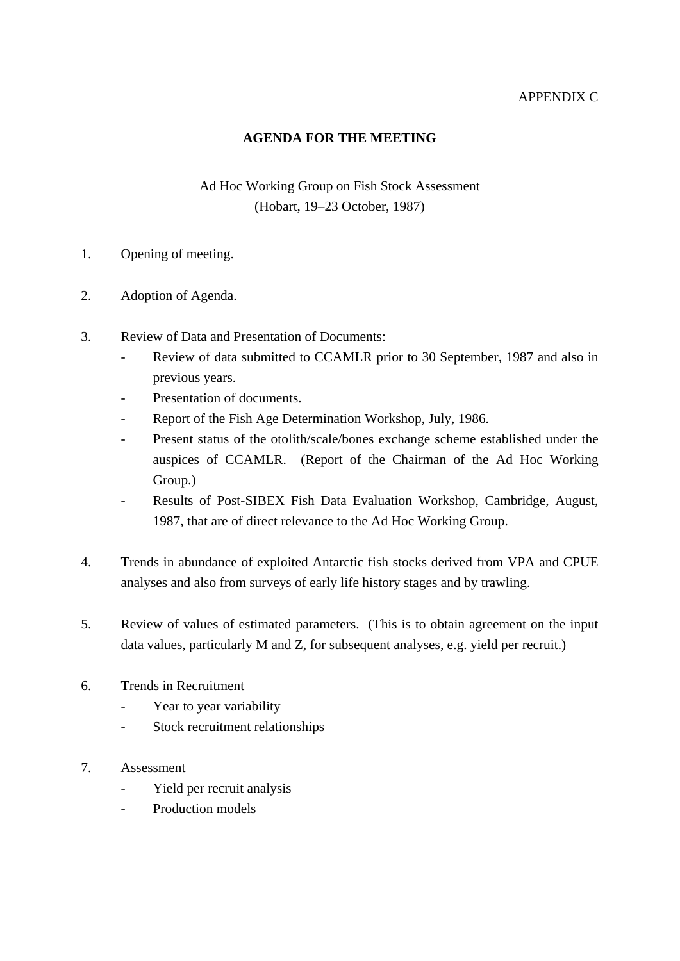# APPENDIX C

## **AGENDA FOR THE MEETING**

# Ad Hoc Working Group on Fish Stock Assessment (Hobart, 19–23 October, 1987)

- 1. Opening of meeting.
- 2. Adoption of Agenda.
- 3. Review of Data and Presentation of Documents:
	- Review of data submitted to CCAMLR prior to 30 September, 1987 and also in previous years.
	- Presentation of documents.
	- Report of the Fish Age Determination Workshop, July, 1986.
	- Present status of the otolith/scale/bones exchange scheme established under the auspices of CCAMLR. (Report of the Chairman of the Ad Hoc Working Group.)
	- Results of Post-SIBEX Fish Data Evaluation Workshop, Cambridge, August, 1987, that are of direct relevance to the Ad Hoc Working Group.
- 4. Trends in abundance of exploited Antarctic fish stocks derived from VPA and CPUE analyses and also from surveys of early life history stages and by trawling.
- 5. Review of values of estimated parameters. (This is to obtain agreement on the input data values, particularly M and Z, for subsequent analyses, e.g. yield per recruit.)
- 6. Trends in Recruitment
	- Year to year variability
	- Stock recruitment relationships
- 7. Assessment
	- Yield per recruit analysis
	- Production models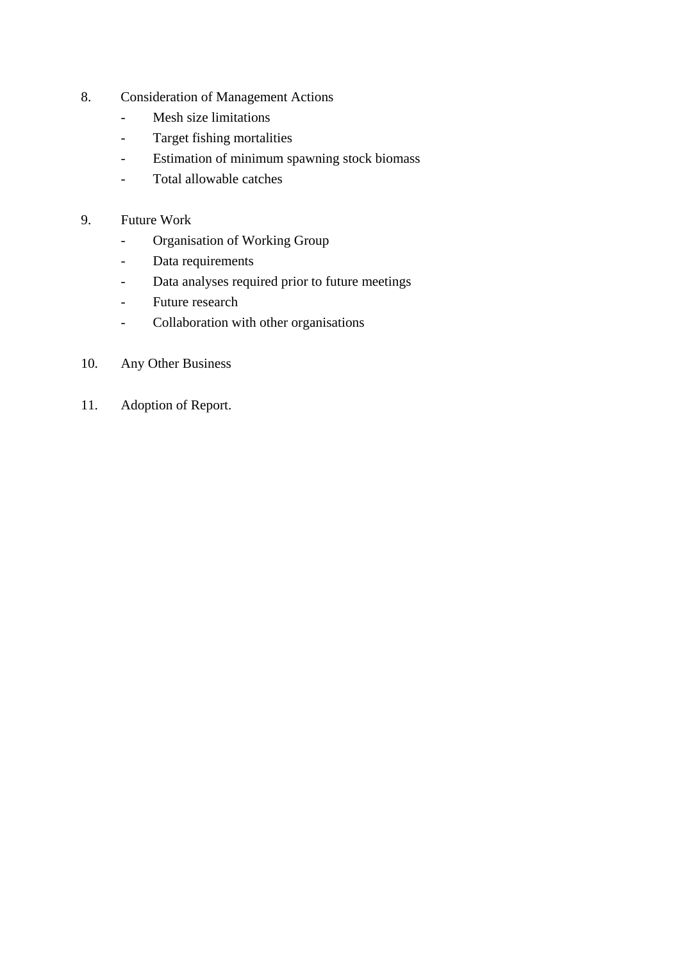- 8. Consideration of Management Actions
	- Mesh size limitations
	- Target fishing mortalities
	- Estimation of minimum spawning stock biomass
	- Total allowable catches
- 9. Future Work
	- Organisation of Working Group
	- Data requirements
	- Data analyses required prior to future meetings
	- Future research
	- Collaboration with other organisations
- 10. Any Other Business
- 11. Adoption of Report.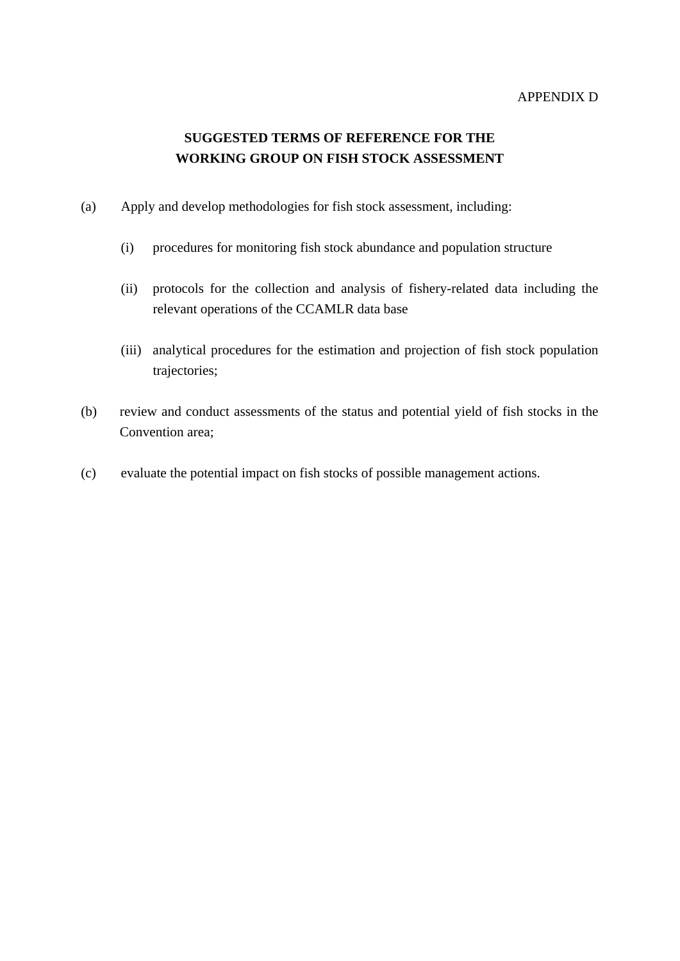#### APPENDIX D

# **SUGGESTED TERMS OF REFERENCE FOR THE WORKING GROUP ON FISH STOCK ASSESSMENT**

- (a) Apply and develop methodologies for fish stock assessment, including:
	- (i) procedures for monitoring fish stock abundance and population structure
	- (ii) protocols for the collection and analysis of fishery-related data including the relevant operations of the CCAMLR data base
	- (iii) analytical procedures for the estimation and projection of fish stock population trajectories;
- (b) review and conduct assessments of the status and potential yield of fish stocks in the Convention area;
- (c) evaluate the potential impact on fish stocks of possible management actions.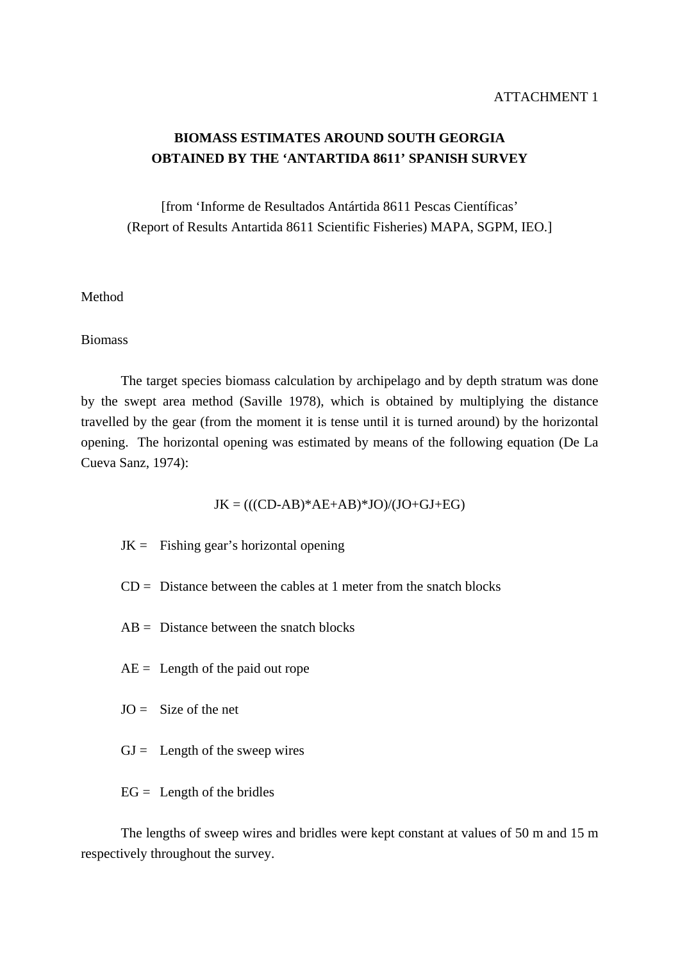# **BIOMASS ESTIMATES AROUND SOUTH GEORGIA OBTAINED BY THE 'ANTARTIDA 8611' SPANISH SURVEY**

[from 'Informe de Resultados Antártida 8611 Pescas Científicas' (Report of Results Antartida 8611 Scientific Fisheries) MAPA, SGPM, IEO.]

### Method

#### Biomass

 The target species biomass calculation by archipelago and by depth stratum was done by the swept area method (Saville 1978), which is obtained by multiplying the distance travelled by the gear (from the moment it is tense until it is turned around) by the horizontal opening. The horizontal opening was estimated by means of the following equation (De La Cueva Sanz, 1974):

 $JK = (((CD-AB)*AE+AB)*JO)/(JO+GI+EG)$ 

- $JK =$  Fishing gear's horizontal opening
- $CD = Distance$  between the cables at 1 meter from the snatch blocks
- $AB = Distance$  between the snatch blocks
- $AE =$  Length of the paid out rope
- $JO =$  Size of the net
- $GJ =$  Length of the sweep wires
- $EG =$  Length of the bridles

 The lengths of sweep wires and bridles were kept constant at values of 50 m and 15 m respectively throughout the survey.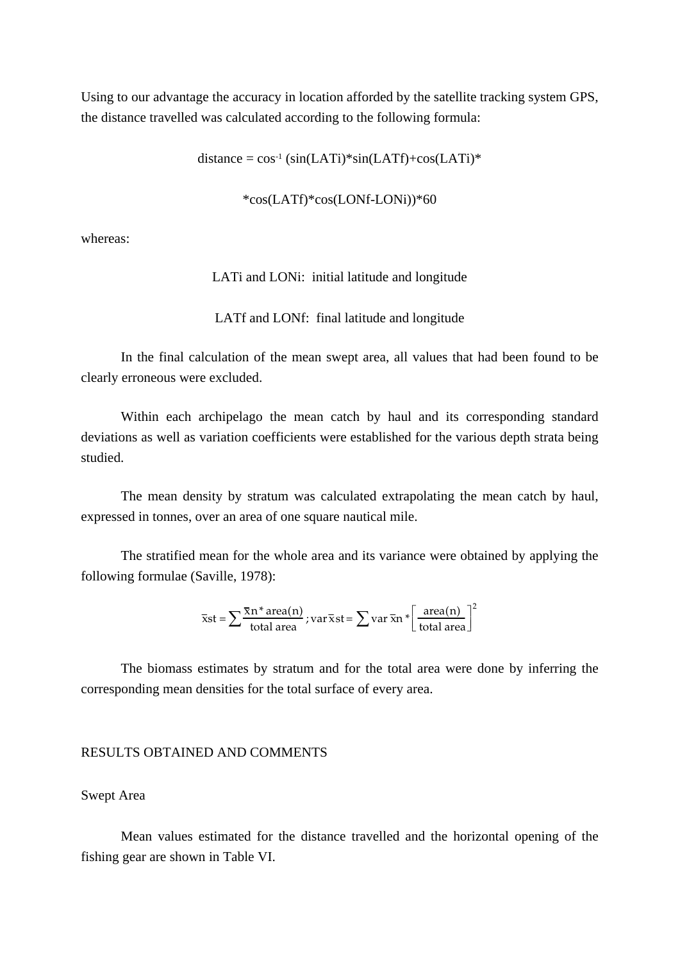Using to our advantage the accuracy in location afforded by the satellite tracking system GPS, the distance travelled was calculated according to the following formula:

 $distance = cos^{-1} (sin(LATi)*sin(LATf) + cos(LATi)*$ 

\*cos(LATf)\*cos(LONf-LONi))\*60

whereas:

LATi and LONi: initial latitude and longitude

LATf and LONf: final latitude and longitude

 In the final calculation of the mean swept area, all values that had been found to be clearly erroneous were excluded.

 Within each archipelago the mean catch by haul and its corresponding standard deviations as well as variation coefficients were established for the various depth strata being studied.

 The mean density by stratum was calculated extrapolating the mean catch by haul, expressed in tonnes, over an area of one square nautical mile.

 The stratified mean for the whole area and its variance were obtained by applying the following formulae (Saville, 1978):

$$
\overline{x}st = \sum \frac{\overline{x}n^* \text{ area}(n)}{\text{total area}}; \text{var}\,\overline{x}st = \sum \text{var}\,\overline{x}n * \left[\frac{\text{area}(n)}{\text{total area}}\right]^2
$$

 The biomass estimates by stratum and for the total area were done by inferring the corresponding mean densities for the total surface of every area.

#### RESULTS OBTAINED AND COMMENTS

#### Swept Area

 Mean values estimated for the distance travelled and the horizontal opening of the fishing gear are shown in Table VI.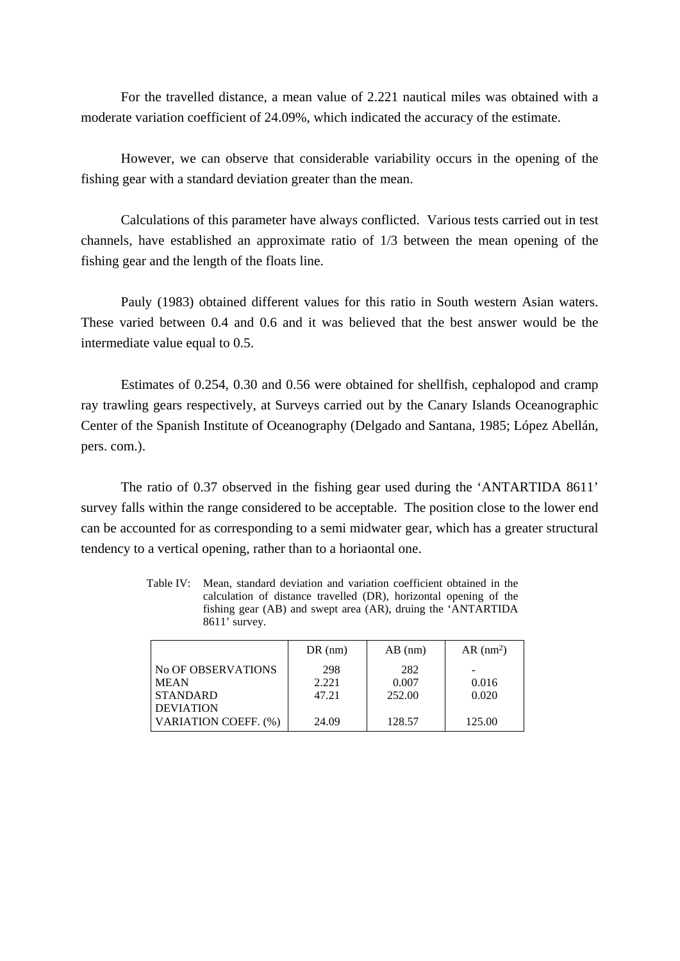For the travelled distance, a mean value of 2.221 nautical miles was obtained with a moderate variation coefficient of 24.09%, which indicated the accuracy of the estimate.

 However, we can observe that considerable variability occurs in the opening of the fishing gear with a standard deviation greater than the mean.

 Calculations of this parameter have always conflicted. Various tests carried out in test channels, have established an approximate ratio of 1/3 between the mean opening of the fishing gear and the length of the floats line.

 Pauly (1983) obtained different values for this ratio in South western Asian waters. These varied between 0.4 and 0.6 and it was believed that the best answer would be the intermediate value equal to 0.5.

 Estimates of 0.254, 0.30 and 0.56 were obtained for shellfish, cephalopod and cramp ray trawling gears respectively, at Surveys carried out by the Canary Islands Oceanographic Center of the Spanish Institute of Oceanography (Delgado and Santana, 1985; López Abellán, pers. com.).

 The ratio of 0.37 observed in the fishing gear used during the 'ANTARTIDA 8611' survey falls within the range considered to be acceptable. The position close to the lower end can be accounted for as corresponding to a semi midwater gear, which has a greater structural tendency to a vertical opening, rather than to a horiaontal one.

| Table IV: Mean, standard deviation and variation coefficient obtained in the |
|------------------------------------------------------------------------------|
| calculation of distance travelled (DR), horizontal opening of the            |
| fishing gear (AB) and swept area (AR), druing the 'ANTARTIDA                 |
| $8611'$ survey.                                                              |
|                                                                              |

|                      | $DR$ (nm) | $AB$ (nm) | $AR$ (nm <sup>2</sup> ) |
|----------------------|-----------|-----------|-------------------------|
| No OF OBSERVATIONS   | 298       | 282       |                         |
| <b>MEAN</b>          | 2.221     | 0.007     | 0.016                   |
| <b>STANDARD</b>      | 47.21     | 252.00    | 0.020                   |
| <b>DEVIATION</b>     |           |           |                         |
| VARIATION COEFF. (%) | 24.09     | 128.57    | 125.00                  |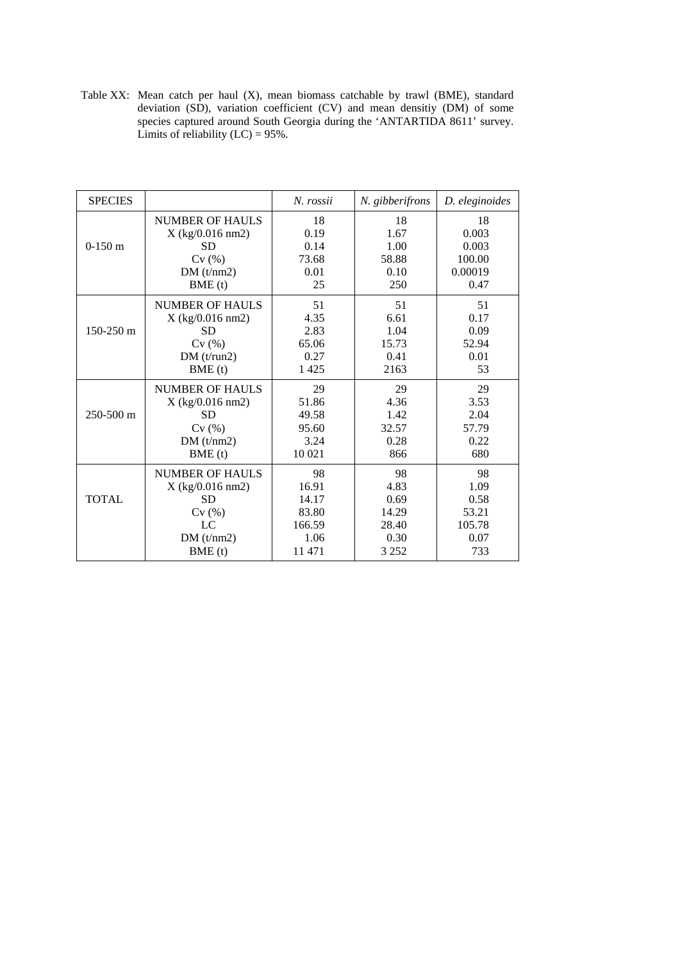Table XX: Mean catch per haul (X), mean biomass catchable by trawl (BME), standard deviation (SD), variation coefficient (CV) and mean densitiy (DM) of some species captured around South Georgia during the 'ANTARTIDA 8611' survey. Limits of reliability  $(LC) = 95\%$ .

| <b>SPECIES</b> |                        | N. rossii | N. gibberifrons | D. eleginoides |
|----------------|------------------------|-----------|-----------------|----------------|
|                | <b>NUMBER OF HAULS</b> | 18        | 18              | 18             |
|                | $X$ (kg/0.016 nm2)     | 0.19      | 1.67            | 0.003          |
| $0-150$ m      | <b>SD</b>              | 0.14      | 1.00            | 0.003          |
|                | Cv(%)                  | 73.68     | 58.88           | 100.00         |
|                | DM(t/nm2)              | 0.01      | 0.10            | 0.00019        |
|                | BME(t)                 | 25        | 250             | 0.47           |
|                | <b>NUMBER OF HAULS</b> | 51        | 51              | 51             |
|                | X (kg/0.016 nm2)       | 4.35      | 6.61            | 0.17           |
| $150-250$ m    | <b>SD</b>              | 2.83      | 1.04            | 0.09           |
|                | Cv(%)                  | 65.06     | 15.73           | 52.94          |
|                | DM(t/run2)             | 0.27      | 0.41            | 0.01           |
|                | BME(t)                 | 1425      | 2163            | 53             |
|                | NUMBER OF HAULS        | 29        | 29              | 29             |
|                | $X$ (kg/0.016 nm2)     | 51.86     | 4.36            | 3.53           |
| $250 - 500$ m  | <b>SD</b>              | 49.58     | 1.42            | 2.04           |
|                | Cv(%)                  | 95.60     | 32.57           | 57.79          |
|                | DM(t/nm2)              | 3.24      | 0.28            | 0.22           |
|                | BME(t)                 | 10 021    | 866             | 680            |
|                | NUMBER OF HAULS        | 98        | 98              | 98             |
|                | X (kg/0.016 nm2)       | 16.91     | 4.83            | 1.09           |
| <b>TOTAL</b>   | <b>SD</b>              | 14.17     | 0.69            | 0.58           |
|                | Cv(%)                  | 83.80     | 14.29           | 53.21          |
|                | LC                     | 166.59    | 28.40           | 105.78         |
|                | DM(t/nm2)              | 1.06      | 0.30            | 0.07           |
|                | BME(t)                 | 11 471    | 3 2 5 2         | 733            |